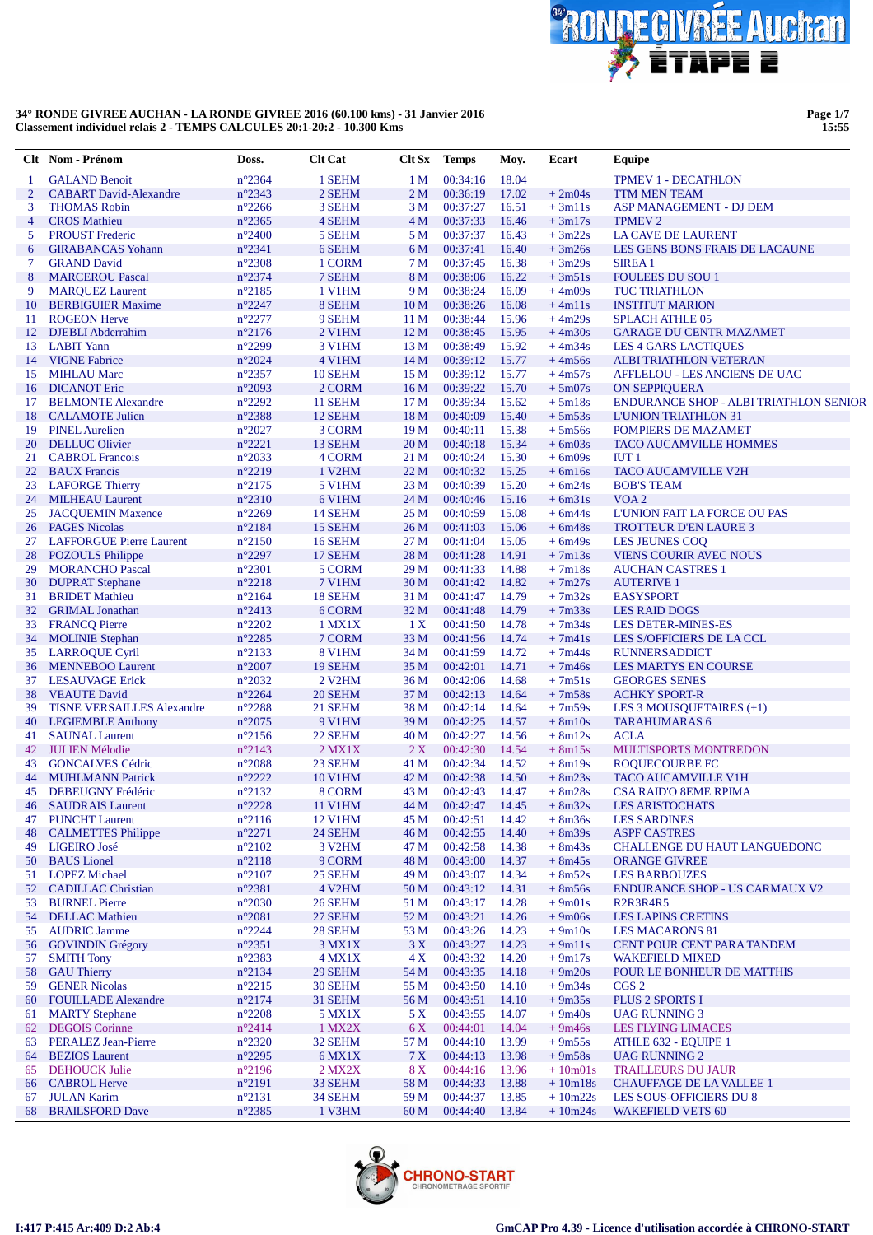

**Page 1/7 15:55**

|                | Clt Nom - Prénom                                    | Doss.                              | <b>Clt Cat</b>                 | Clt Sx                             | <b>Temps</b>         | Moy.           | Ecart                | Equipe                                                      |
|----------------|-----------------------------------------------------|------------------------------------|--------------------------------|------------------------------------|----------------------|----------------|----------------------|-------------------------------------------------------------|
| 1              | <b>GALAND Benoit</b>                                | $n^{\circ}2364$                    | 1 SEHM                         | 1 <sub>M</sub>                     | 00:34:16             | 18.04          |                      | <b>TPMEV 1 - DECATHLON</b>                                  |
| $\overline{2}$ | <b>CABART</b> David-Alexandre                       | $n^{\circ}2343$                    | 2 SEHM                         | 2 <sub>M</sub>                     | 00:36:19             | 17.02          | $+2m04s$             | <b>TTM MEN TEAM</b>                                         |
| 3              | <b>THOMAS Robin</b>                                 | $n^{\circ}2266$                    | 3 SEHM                         | 3 M                                | 00:37:27             | 16.51          | $+3m11s$             | ASP MANAGEMENT - DJ DEM                                     |
| $\overline{4}$ | <b>CROS</b> Mathieu                                 | $n^{\circ}2365$                    | 4 SEHM                         | 4 M                                | 00:37:33             | 16.46          | $+3m17s$             | <b>TPMEV 2</b>                                              |
| 5              | <b>PROUST Frederic</b>                              | $n^{\circ}2400$                    | 5 SEHM                         | 5 M                                | 00:37:37             | 16.43          | $+3m22s$             | <b>LA CAVE DE LAURENT</b>                                   |
| 6              | <b>GIRABANCAS Yohann</b>                            | $n^{\circ}2341$                    | 6 SEHM                         | 6 M                                | 00:37:41             | 16.40          | $+3m26s$             | LES GENS BONS FRAIS DE LACAUNE                              |
| $\tau$         | <b>GRAND David</b>                                  | $n^{\circ}2308$                    | 1 CORM                         | 7 M                                | 00:37:45             | 16.38          | $+3m29s$             | <b>SIREA1</b>                                               |
| 8              | <b>MARCEROU Pascal</b>                              | $n^{\circ}2374$                    | 7 SEHM                         | 8 M                                | 00:38:06             | 16.22          | $+3m51s$             | <b>FOULEES DU SOU 1</b>                                     |
| 9              | <b>MARQUEZ Laurent</b>                              | $n^{\circ}2185$                    | 1 V1HM<br>8 SEHM               | 9 M                                | 00:38:24             | 16.09          | $+4m09s$             | <b>TUC TRIATHLON</b>                                        |
| 10<br>11       | <b>BERBIGUIER Maxime</b><br><b>ROGEON Herve</b>     | $n^{\circ}2247$<br>$n^{\circ}2277$ | 9 SEHM                         | 10 <sub>M</sub><br>11 <sub>M</sub> | 00:38:26<br>00:38:44 | 16.08<br>15.96 | $+4m11s$<br>$+4m29s$ | <b>INSTITUT MARION</b><br><b>SPLACH ATHLE 05</b>            |
| 12             | <b>DJEBLI</b> Abderrahim                            | $n^{\circ}2176$                    | 2 V1HM                         | 12 <sub>M</sub>                    | 00:38:45             | 15.95          | $+4m30s$             | <b>GARAGE DU CENTR MAZAMET</b>                              |
|                | 13 LABIT Yann                                       | $n^{\circ}2299$                    | <b>3 V1HM</b>                  | 13 M                               | 00:38:49             | 15.92          | $+4m34s$             | <b>LES 4 GARS LACTIOUES</b>                                 |
| 14             | <b>VIGNE Fabrice</b>                                | $n^{\circ}2024$                    | <b>4 V1HM</b>                  | 14 M                               | 00:39:12             | 15.77          | $+4m56s$             | <b>ALBI TRIATHLON VETERAN</b>                               |
| 15             | <b>MIHLAU Marc</b>                                  | $n^{\circ}2357$                    | 10 SEHM                        | 15 <sub>M</sub>                    | 00:39:12             | 15.77          | $+4m57s$             | AFFLELOU - LES ANCIENS DE UAC                               |
| 16             | <b>DICANOT</b> Eric                                 | $n^{\circ}2093$                    | 2 CORM                         | 16M                                | 00:39:22             | 15.70          | $+5m07s$             | <b>ON SEPPIQUERA</b>                                        |
| 17             | <b>BELMONTE Alexandre</b>                           | $n^{\circ}2292$                    | 11 SEHM                        | 17 <sub>M</sub>                    | 00:39:34             | 15.62          | $+5m18s$             | <b>ENDURANCE SHOP - ALBI TRIATHLON SENIOR</b>               |
| 18             | <b>CALAMOTE</b> Julien                              | n°2388                             | 12 SEHM                        | 18 <sub>M</sub>                    | 00:40:09             | 15.40          | $+5m53s$             | <b>L'UNION TRIATHLON 31</b>                                 |
| 19             | <b>PINEL Aurelien</b>                               | $n^{\circ}2027$                    | 3 CORM                         | 19 <sub>M</sub>                    | 00:40:11             | 15.38          | $+5m56s$             | POMPIERS DE MAZAMET                                         |
| 20             | <b>DELLUC Olivier</b>                               | $n^{\circ}2221$                    | 13 SEHM                        | 20 <sub>M</sub>                    | 00:40:18             | 15.34          | $+6m03s$             | <b>TACO AUCAMVILLE HOMMES</b>                               |
| 21             | <b>CABROL</b> Francois                              | $n^{\circ}2033$                    | 4 CORM                         | 21 M                               | 00:40:24             | 15.30          | $+6m09s$             | IUT1                                                        |
| 22             | <b>BAUX</b> Francis                                 | $n^{\circ}2219$                    | 1 V <sub>2</sub> HM            | 22 M                               | 00:40:32             | 15.25          | $+ 6m16s$            | <b>TACO AUCAMVILLE V2H</b>                                  |
| 23             | <b>LAFORGE Thierry</b>                              | $n^{\circ}2175$                    | <b>5 V1HM</b>                  | 23 M                               | 00:40:39             | 15.20          | $+6m24s$             | <b>BOB'S TEAM</b>                                           |
| 24<br>25       | <b>MILHEAU Laurent</b><br><b>JACQUEMIN Maxence</b>  | $n^{\circ}2310$<br>$n^{\circ}2269$ | 6 V1HM<br>14 SEHM              | 24 M<br>25 M                       | 00:40:46<br>00:40:59 | 15.16<br>15.08 | $+6m31s$<br>$+6m44s$ | VOA <sub>2</sub><br>L'UNION FAIT LA FORCE OU PAS            |
| 26             | <b>PAGES Nicolas</b>                                | n°2184                             | 15 SEHM                        | 26 M                               | 00:41:03             | 15.06          | $+6m48s$             | <b>TROTTEUR D'EN LAURE 3</b>                                |
| 27             | <b>LAFFORGUE Pierre Laurent</b>                     | $n^{\circ}2150$                    | 16 SEHM                        | 27 M                               | 00:41:04             | 15.05          | $+6m49s$             | <b>LES JEUNES COO</b>                                       |
| 28             | <b>POZOULS</b> Philippe                             | $n^{\circ}2297$                    | 17 SEHM                        | 28 M                               | 00:41:28             | 14.91          | $+7m13s$             | <b>VIENS COURIR AVEC NOUS</b>                               |
| 29             | <b>MORANCHO Pascal</b>                              | $n^{\circ}2301$                    | 5 CORM                         | 29 M                               | 00:41:33             | 14.88          | $+7m18s$             | <b>AUCHAN CASTRES 1</b>                                     |
| 30             | <b>DUPRAT Stephane</b>                              | $n^{\circ}2218$                    | <b>7 V1HM</b>                  | 30 <sub>M</sub>                    | 00:41:42             | 14.82          | $+7m27s$             | <b>AUTERIVE 1</b>                                           |
| 31             | <b>BRIDET Mathieu</b>                               | $n^{\circ}2164$                    | 18 SEHM                        | 31 M                               | 00:41:47             | 14.79          | $+7m32s$             | <b>EASYSPORT</b>                                            |
| 32             | <b>GRIMAL</b> Jonathan                              | $n^{\circ}2413$                    | 6 CORM                         | 32 M                               | 00:41:48             | 14.79          | $+7m33s$             | <b>LES RAID DOGS</b>                                        |
| 33             | <b>FRANCQ Pierre</b>                                | $n^{\circ}2202$                    | 1 MX1X                         | 1X                                 | 00:41:50             | 14.78          | $+7m34s$             | <b>LES DETER-MINES-ES</b>                                   |
| 34             | <b>MOLINIE Stephan</b>                              | $n^{\circ}2285$                    | 7 CORM                         | 33 M                               | 00:41:56             | 14.74          | $+7m41s$             | LES S/OFFICIERS DE LA CCL                                   |
| 35             | <b>LARROQUE Cyril</b>                               | $n^{\circ}2133$                    | <b>8 V1HM</b>                  | 34 M                               | 00:41:59             | 14.72          | $+7m44s$             | <b>RUNNERSADDICT</b>                                        |
| 36             | <b>MENNEBOO Laurent</b>                             | $n^{\circ}2007$                    | 19 SEHM                        | 35 M                               | 00:42:01             | 14.71          | $+7m46s$             | <b>LES MARTYS EN COURSE</b>                                 |
| 37<br>38       | <b>LESAUVAGE Erick</b><br><b>VEAUTE David</b>       | $n^{\circ}2032$<br>$n^{\circ}2264$ | 2 V <sub>2</sub> HM<br>20 SEHM | 36 M<br>37 M                       | 00:42:06<br>00:42:13 | 14.68<br>14.64 | $+7m51s$<br>$+7m58s$ | <b>GEORGES SENES</b><br><b>ACHKY SPORT-R</b>                |
| 39             | <b>TISNE VERSAILLES Alexandre</b>                   | $n^{\circ}2288$                    | 21 SEHM                        | 38 M                               | 00:42:14             | 14.64          | $+7m59s$             | LES 3 MOUSQUETAIRES (+1)                                    |
| 40             | <b>LEGIEMBLE Anthony</b>                            | $n^{\circ}2075$                    | 9 V1HM                         | 39 M                               | 00:42:25             | 14.57          | $+ 8m10s$            | <b>TARAHUMARAS 6</b>                                        |
| 41             | <b>SAUNAL Laurent</b>                               | $n^{\circ}2156$                    | 22 SEHM                        | 40 M                               | 00:42:27             | 14.56          | $+ 8m12s$            | <b>ACLA</b>                                                 |
| 42             | <b>JULIEN Mélodie</b>                               | n°2143                             | $2$ MX1X                       | 2X                                 | 00:42:30             | 14.54          | $+ 8m15s$            | <b>MULTISPORTS MONTREDON</b>                                |
| 43             | <b>GONCALVES Cédric</b>                             | $n^{\circ}2088$                    | 23 SEHM                        | 41 M                               | 00:42:34             | 14.52          | $+8m19s$             | <b>ROQUECOURBE FC</b>                                       |
| 44             | <b>MUHLMANN Patrick</b>                             | $n^{\circ}2222$                    | <b>10 V1HM</b>                 | 42 M                               | 00:42:38             | 14.50          | $+8m23s$             | <b>TACO AUCAMVILLE V1H</b>                                  |
| 45             | <b>DEBEUGNY Frédéric</b>                            | $n^{\circ}2132$                    | 8 CORM                         | 43 M                               | 00:42:43             | 14.47          | $+8m28s$             | <b>CSA RAID'O 8EME RPIMA</b>                                |
|                | 46 SAUDRAIS Laurent                                 | $n^{\circ}2228$                    | 11 V1HM                        | 44 M                               | 00:42:47 14.45       |                | $+8m32s$             | <b>LES ARISTOCHATS</b>                                      |
|                | 47 PUNCHT Laurent                                   | $n^{\circ}2116$                    | <b>12 V1HM</b>                 | 45 M                               | 00:42:51             | 14.42          | $+8m36s$             | <b>LES SARDINES</b>                                         |
| 48<br>49       | <b>CALMETTES</b> Philippe<br>LIGEIRO José           | $n^{\circ}2271$<br>$n^{\circ}2102$ | 24 SEHM<br>3 V <sub>2</sub> HM | 46 M                               | 00:42:55<br>00:42:58 | 14.40<br>14.38 | $+8m39s$<br>$+8m43s$ | <b>ASPF CASTRES</b><br>CHALLENGE DU HAUT LANGUEDONC         |
| 50             | <b>BAUS</b> Lionel                                  | $n^{\circ}2118$                    | 9 CORM                         | 47 M<br>48 M                       | 00:43:00             | 14.37          | $+8m45s$             | <b>ORANGE GIVREE</b>                                        |
| 51             | <b>LOPEZ Michael</b>                                | $n^{\circ}2107$                    | 25 SEHM                        | 49 M                               | 00:43:07             | 14.34          | $+8m52s$             | <b>LES BARBOUZES</b>                                        |
| 52             | <b>CADILLAC Christian</b>                           | $n^{\circ}2381$                    | 4 V2HM                         | 50 M                               | 00:43:12             | 14.31          | $+8m56s$             | <b>ENDURANCE SHOP - US CARMAUX V2</b>                       |
| 53             | <b>BURNEL Pierre</b>                                | $n^{\circ}2030$                    | 26 SEHM                        | 51 M                               | 00:43:17             | 14.28          | $+9m01s$             | R <sub>2</sub> R <sub>3</sub> R <sub>4</sub> R <sub>5</sub> |
| 54             | <b>DELLAC</b> Mathieu                               | $n^{\circ}2081$                    | 27 SEHM                        | 52 M                               | 00:43:21             | 14.26          | $+9m06s$             | <b>LES LAPINS CRETINS</b>                                   |
| 55             | <b>AUDRIC Jamme</b>                                 | $n^{\circ}2244$                    | 28 SEHM                        | 53 M                               | 00:43:26             | 14.23          | $+9m10s$             | <b>LES MACARONS 81</b>                                      |
| 56             | <b>GOVINDIN Grégory</b>                             | $n^{\circ}2351$                    | 3 MX1X                         | 3X                                 | 00:43:27             | 14.23          | $+9m11s$             | CENT POUR CENT PARA TANDEM                                  |
| 57             | <b>SMITH Tony</b>                                   | $n^{\circ}2383$                    | $4$ MX1X                       | 4X                                 | 00:43:32             | 14.20          | $+9m17s$             | <b>WAKEFIELD MIXED</b>                                      |
| 58             | <b>GAU Thierry</b>                                  | $n^{\circ}2134$                    | 29 SEHM                        | 54 M                               | 00:43:35             | 14.18          | $+9m20s$             | POUR LE BONHEUR DE MATTHIS                                  |
| 59             | <b>GENER Nicolas</b>                                | $n^{\circ}2215$                    | 30 SEHM                        | 55 M                               | 00:43:50             | 14.10          | $+9m34s$             | CGS <sub>2</sub>                                            |
| 60             | <b>FOUILLADE Alexandre</b>                          | $n^{\circ}2174$                    | 31 SEHM                        | 56 M                               | 00:43:51             | 14.10          | $+9m35s$             | PLUS 2 SPORTS I                                             |
| 61             | <b>MARTY Stephane</b>                               | $n^{\circ}2208$                    | 5 MX1X                         | 5 X                                | 00:43:55             | 14.07          | $+9m40s$             | <b>UAG RUNNING 3</b>                                        |
| 62             | <b>DEGOIS</b> Corinne                               | $n^{\circ}2414$                    | 1 MX2X                         | 6 X                                | 00:44:01             | 14.04          | $+9m46s$             | <b>LES FLYING LIMACES</b>                                   |
| 63<br>64       | <b>PERALEZ Jean-Pierre</b><br><b>BEZIOS</b> Laurent | $n^{\circ}2320$<br>$n^{\circ}2295$ | 32 SEHM<br>6 MX1X              | 57 M<br>7X                         | 00:44:10<br>00:44:13 | 13.99<br>13.98 | $+9m55s$<br>$+9m58s$ | ATHLE 632 - EQUIPE 1<br><b>UAG RUNNING 2</b>                |
| 65             | <b>DEHOUCK Julie</b>                                | $n^{\circ}2196$                    | $2$ MX $2X$                    | 8X                                 | 00:44:16             | 13.96          | $+10m01s$            | <b>TRAILLEURS DU JAUR</b>                                   |
| 66             | <b>CABROL Herve</b>                                 | $n^{\circ}2191$                    | 33 SEHM                        | 58 M                               | 00:44:33             | 13.88          | $+10m18s$            | <b>CHAUFFAGE DE LA VALLEE 1</b>                             |
| 67             | <b>JULAN Karim</b>                                  | $n^{\circ}2131$                    | 34 SEHM                        | 59 M                               | 00:44:37             | 13.85          | $+10m22s$            | LES SOUS-OFFICIERS DU 8                                     |
| 68             | <b>BRAILSFORD Dave</b>                              | $n^{\circ}2385$                    | 1 V3HM                         | 60 M                               | 00:44:40             | 13.84          | $+10m24s$            | <b>WAKEFIELD VETS 60</b>                                    |
|                |                                                     |                                    |                                |                                    |                      |                |                      |                                                             |

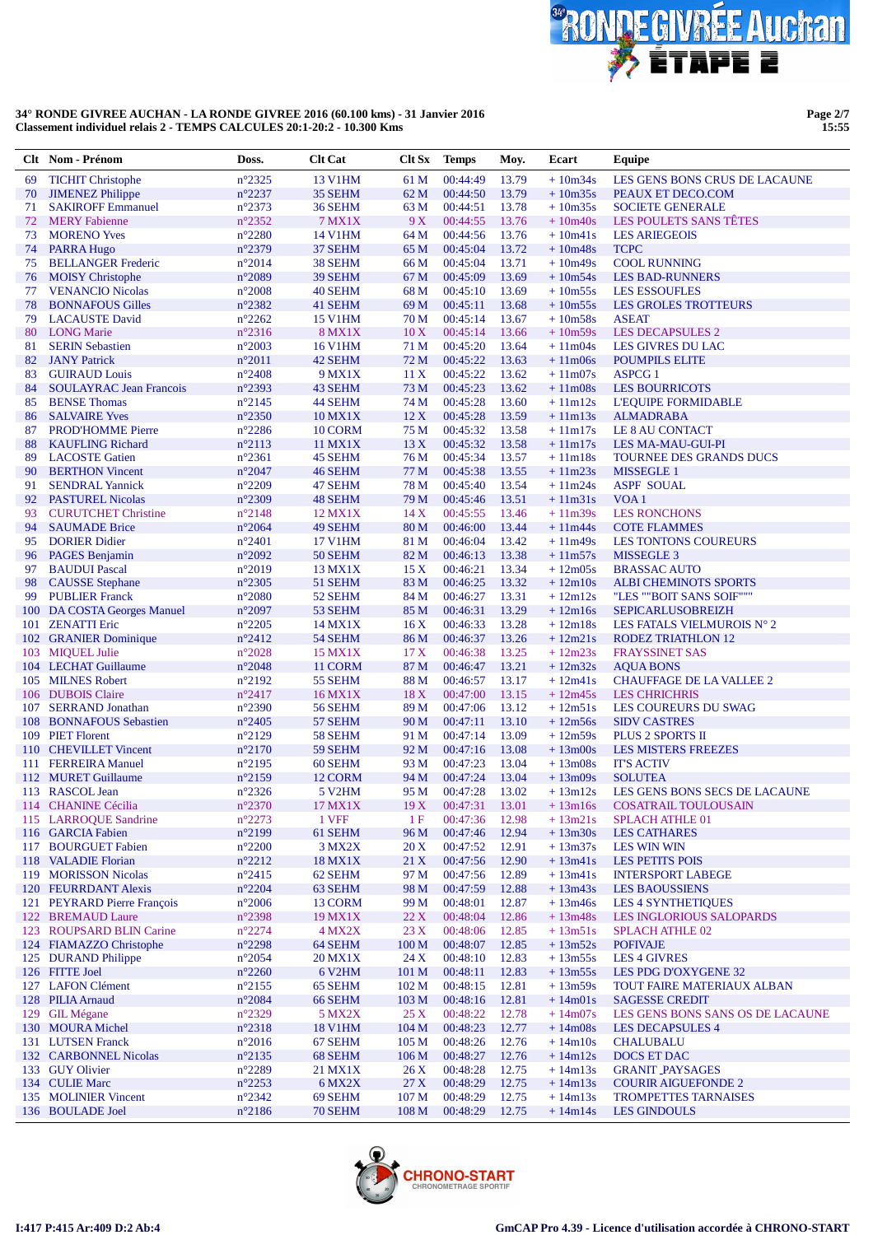

**Page 2/7 15:55**

|          | Clt Nom - Prénom                                       | Doss.                              | <b>Clt Cat</b>      | Clt Sx           | <b>Temps</b>         | Moy.           | Ecart                  | Equipe                                                    |
|----------|--------------------------------------------------------|------------------------------------|---------------------|------------------|----------------------|----------------|------------------------|-----------------------------------------------------------|
| 69       | <b>TICHIT Christophe</b>                               | $n^{\circ}2325$                    | <b>13 V1HM</b>      | 61 M             | 00:44:49             | 13.79          | $+10m34s$              | LES GENS BONS CRUS DE LACAUNE                             |
| 70       | <b>JIMENEZ Philippe</b>                                | $n^{\circ}2237$                    | 35 SEHM             | 62 M             | 00:44:50             | 13.79          | $+10m35s$              | PEAUX ET DECO.COM                                         |
| 71       | <b>SAKIROFF Emmanuel</b>                               | $n^{\circ}2373$                    | 36 SEHM             | 63 M             | 00:44:51             | 13.78          | $+10m35s$              | <b>SOCIETE GENERALE</b>                                   |
| 72       | <b>MERY Fabienne</b>                                   | $n^{\circ}2352$                    | <b>7 MX1X</b>       | 9 X              | 00:44:55             | 13.76          | $+10m40s$              | LES POULETS SANS TÊTES                                    |
| 73       | <b>MORENO Yves</b>                                     | $n^{\circ}2280$                    | <b>14 V1HM</b>      | 64 M             | 00:44:56             | 13.76          | $+10m41s$              | <b>LES ARIEGEOIS</b>                                      |
| 74       | PARRA Hugo                                             | $n^{\circ}2379$                    | 37 SEHM             | 65 M             | 00:45:04             | 13.72          | $+10m48s$              | <b>TCPC</b>                                               |
| 75       | <b>BELLANGER Frederic</b>                              | $n^{\circ}2014$                    | 38 SEHM             | 66 M             | 00:45:04             | 13.71          | $+10m49s$              | <b>COOL RUNNING</b>                                       |
| 76       | <b>MOISY</b> Christophe                                | $n^{\circ}2089$                    | 39 SEHM             | 67 M             | 00:45:09             | 13.69          | $+10m54s$              | <b>LES BAD-RUNNERS</b>                                    |
| 77       | <b>VENANCIO Nicolas</b>                                | $n^{\circ}2008$                    | 40 SEHM             | 68 M             | 00:45:10             | 13.69          | $+10m55s$              | <b>LES ESSOUFLES</b>                                      |
| 78       | <b>BONNAFOUS Gilles</b>                                | $n^{\circ}2382$                    | 41 SEHM             | 69 M             | 00:45:11             | 13.68          | $+10m55s$              | <b>LES GROLES TROTTEURS</b>                               |
| 79       | <b>LACAUSTE David</b>                                  | $n^{\circ}2262$                    | <b>15 V1HM</b>      | 70 M             | 00:45:14             | 13.67          | $+10m58s$              | <b>ASEAT</b>                                              |
| 80       | <b>LONG</b> Marie                                      | $n^{\circ}2316$                    | <b>8 MX1X</b>       | 10X              | 00:45:14             | 13.66          | $+10m59s$              | <b>LES DECAPSULES 2</b>                                   |
| 81       | <b>SERIN Sebastien</b>                                 | $n^{\circ}2003$                    | <b>16 V1HM</b>      | 71 M             | 00:45:20             | 13.64          | $+11m04s$              | LES GIVRES DU LAC                                         |
| 82       | <b>JANY</b> Patrick                                    | $n^{\circ}2011$                    | 42 SEHM             | 72 M             | 00:45:22             | 13.63          | $+11m06s$              | <b>POUMPILS ELITE</b>                                     |
| 83<br>84 | <b>GUIRAUD Louis</b><br><b>SOULAYRAC Jean Francois</b> | $n^{\circ}2408$<br>$n^{\circ}2393$ | 9 MX1X<br>43 SEHM   | 11 X<br>73 M     | 00:45:22<br>00:45:23 | 13.62<br>13.62 | $+11m07s$<br>$+11m08s$ | <b>ASPCG 1</b><br><b>LES BOURRICOTS</b>                   |
| 85       | <b>BENSE Thomas</b>                                    | $n^{\circ}2145$                    | 44 SEHM             | 74 M             | 00:45:28             | 13.60          | $+11m12s$              | <b>L'EQUIPE FORMIDABLE</b>                                |
| 86       | <b>SALVAIRE Yves</b>                                   | $n^{\circ}2350$                    | 10 MX1X             | 12X              | 00:45:28             | 13.59          | $+11m13s$              | <b>ALMADRABA</b>                                          |
| 87       | <b>PROD'HOMME Pierre</b>                               | $n^{\circ}2286$                    | 10 CORM             | 75 M             | 00:45:32             | 13.58          | $+11m17s$              | LE 8 AU CONTACT                                           |
| 88       | <b>KAUFLING Richard</b>                                | $n^{\circ}2113$                    | 11 MX1X             | 13X              | 00:45:32             | 13.58          | $+11m17s$              | <b>LES MA-MAU-GUI-PI</b>                                  |
| 89       | <b>LACOSTE Gatien</b>                                  | $n^{\circ}2361$                    | 45 SEHM             | 76 M             | 00:45:34             | 13.57          | $+11m18s$              | TOURNEE DES GRANDS DUCS                                   |
| 90       | <b>BERTHON Vincent</b>                                 | $n^{\circ}2047$                    | 46 SEHM             | 77 M             | 00:45:38             | 13.55          | $+11m23s$              | <b>MISSEGLE 1</b>                                         |
| 91       | <b>SENDRAL Yannick</b>                                 | $n^{\circ}2209$                    | 47 SEHM             | 78 M             | 00:45:40             | 13.54          | $+11m24s$              | <b>ASPF SOUAL</b>                                         |
| 92       | <b>PASTUREL Nicolas</b>                                | $n^{\circ}2309$                    | 48 SEHM             | 79 M             | 00:45:46             | 13.51          | $+11m31s$              | VOA <sub>1</sub>                                          |
| 93       | <b>CURUTCHET Christine</b>                             | $n^{\circ}2148$                    | 12 MX1X             | 14X              | 00:45:55             | 13.46          | $+11m39s$              | <b>LES RONCHONS</b>                                       |
| 94       | <b>SAUMADE Brice</b>                                   | $n^{\circ}2064$                    | 49 SEHM             | 80 M             | 00:46:00             | 13.44          | $+11m44s$              | <b>COTE FLAMMES</b>                                       |
| 95       | <b>DORIER Didier</b>                                   | $n^{\circ}2401$                    | <b>17 V1HM</b>      | 81 M             | 00:46:04             | 13.42          | $+11m49s$              | <b>LES TONTONS COUREURS</b>                               |
| 96       | <b>PAGES</b> Benjamin                                  | $n^{\circ}2092$                    | 50 SEHM             | 82 M             | 00:46:13             | 13.38          | $+11m57s$              | <b>MISSEGLE 3</b>                                         |
| 97       | <b>BAUDUI</b> Pascal                                   | $n^{\circ}2019$                    | 13 MX1X             | 15X              | 00:46:21             | 13.34          | $+12m05s$              | <b>BRASSAC AUTO</b>                                       |
| 98       | <b>CAUSSE</b> Stephane                                 | $n^{\circ}2305$                    | 51 SEHM             | 83 M             | 00:46:25             | 13.32          | $+12m10s$              | <b>ALBI CHEMINOTS SPORTS</b>                              |
| 99       | <b>PUBLIER Franck</b>                                  | $n^{\circ}2080$                    | 52 SEHM             | 84 M             | 00:46:27             | 13.31          | $+12m12s$              | "LES ""BOIT SANS SOIF"""                                  |
|          | 100 DA COSTA Georges Manuel                            | $n^{\circ}2097$                    | 53 SEHM             | 85 M             | 00:46:31             | 13.29          | $+12m16s$              | <b>SEPICARLUSOBREIZH</b>                                  |
| 101      | <b>ZENATTI Eric</b>                                    | $n^{\circ}2205$                    | 14 MX1X             | 16X              | 00:46:33             | 13.28          | $+12m18s$              | LES FATALS VIELMUROIS N° 2                                |
|          | 102 GRANIER Dominique                                  | $n^{\circ}2412$                    | 54 SEHM             | 86 M             | 00:46:37             | 13.26          | $+12m21s$              | <b>RODEZ TRIATHLON 12</b>                                 |
|          | 103 MIQUEL Julie                                       | $n^{\circ}2028$                    | 15 MX1X             | 17 <sub>X</sub>  | 00:46:38             | 13.25          | $+12m23s$              | <b>FRAYSSINET SAS</b>                                     |
|          | 104 LECHAT Guillaume                                   | $n^{\circ}2048$                    | 11 CORM             | 87 M             | 00:46:47             | 13.21          | $+12m32s$              | <b>AQUA BONS</b>                                          |
|          | 105 MILNES Robert                                      | $n^{\circ}2192$                    | 55 SEHM             | 88 M             | 00:46:57             | 13.17          | $+12m41s$              | <b>CHAUFFAGE DE LA VALLEE 2</b>                           |
|          | 106 DUBOIS Claire                                      | $n^{\circ}2417$                    | 16 MX1X             | 18X              | 00:47:00             | 13.15          | $+12m45s$              | <b>LES CHRICHRIS</b>                                      |
|          | 107 SERRAND Jonathan                                   | $n^{\circ}2390$                    | 56 SEHM             | 89 M             | 00:47:06             | 13.12          | $+12m51s$              | LES COUREURS DU SWAG                                      |
| 108      | <b>BONNAFOUS Sebastien</b>                             | $n^{\circ}2405$                    | 57 SEHM             | 90 M             | 00:47:11             | 13.10          | $+12m56s$              | <b>SIDV CASTRES</b>                                       |
| 110      | 109 PIET Florent<br><b>CHEVILLET Vincent</b>           | $n^{\circ}2129$<br>$n^{\circ}2170$ | 58 SEHM<br>59 SEHM  | 91 M<br>92 M     | 00:47:14<br>00:47:16 | 13.09<br>13.08 | $+12m59s$<br>$+13m00s$ | <b>PLUS 2 SPORTS II</b><br><b>LES MISTERS FREEZES</b>     |
|          | 111 FERREIRA Manuel                                    | $n^{\circ}2195$                    | 60 SEHM             | 93 M             | 00:47:23             | 13.04          | $+13m08s$              | <b>IT'S ACTIV</b>                                         |
|          | 112 MURET Guillaume                                    | $n^{\circ}2159$                    | 12 CORM             | 94 M             | 00:47:24             | 13.04          | $+13m09s$              | <b>SOLUTEA</b>                                            |
|          | 113 RASCOL Jean                                        | $n^{\circ}2326$                    | 5 V <sub>2</sub> HM | 95 M             | 00:47:28             | 13.02          | $+13m12s$              | LES GENS BONS SECS DE LACAUNE                             |
|          | 114 CHANINE Cécilia                                    | $n^{\circ}2370$                    | 17 MX1X             | 19X              | 00:47:31             | 13.01          | $+13ml6s$              | <b>COSATRAIL TOULOUSAIN</b>                               |
|          | 115 LARROQUE Sandrine                                  | $n^{\circ}2273$                    | 1 VFF               | 1F               | 00:47:36             | 12.98          | $+13m21s$              | <b>SPLACH ATHLE 01</b>                                    |
|          | 116 GARCIA Fabien                                      | $n^{\circ}2199$                    | 61 SEHM             | 96 M             | 00:47:46             | 12.94          | $+13m30s$              | <b>LES CATHARES</b>                                       |
| 117      | <b>BOURGUET Fabien</b>                                 | $n^{\circ}2200$                    | 3 MX2X              | 20 X             | 00:47:52             | 12.91          | $+13m37s$              | <b>LES WIN WIN</b>                                        |
|          | 118 VALADIE Florian                                    | $n^{\circ}2212$                    | 18 MX1X             | 21 X             | 00:47:56             | 12.90          | $+13m41s$              | <b>LES PETITS POIS</b>                                    |
|          | 119 MORISSON Nicolas                                   | $n^{\circ}2415$                    | 62 SEHM             | 97 M             | 00:47:56             | 12.89          | $+13m41s$              | <b>INTERSPORT LABEGE</b>                                  |
|          | 120 FEURRDANT Alexis                                   | $n^{\circ}2204$                    | 63 SEHM             | 98 M             | 00:47:59             | 12.88          | $+13m43s$              | <b>LES BAOUSSIENS</b>                                     |
|          | 121 PEYRARD Pierre François                            | $n^{\circ}2006$                    | 13 CORM             | 99 M             | 00:48:01             | 12.87          | $+13m46s$              | <b>LES 4 SYNTHETIQUES</b>                                 |
|          | 122 BREMAUD Laure                                      | $n^{\circ}2398$                    | 19 MX1X             | 22 X             | 00:48:04             | 12.86          | $+13m48s$              | <b>LES INGLORIOUS SALOPARDS</b>                           |
|          | 123 ROUPSARD BLIN Carine                               | $n^{\circ}2274$                    | $4$ MX2X            | 23X              | 00:48:06             | 12.85          | $+13m51s$              | <b>SPLACH ATHLE 02</b>                                    |
|          | 124 FIAMAZZO Christophe                                | $n^{\circ}2298$                    | 64 SEHM             | 100 <sub>M</sub> | 00:48:07             | 12.85          | $+13m52s$              | <b>POFIVAJE</b>                                           |
|          | 125 DURAND Philippe                                    | $n^{\circ}2054$                    | 20 MX1X             | 24X              | 00:48:10             | 12.83          | $+13m55s$              | <b>LES 4 GIVRES</b>                                       |
|          | 126 FITTE Joel                                         | $n^{\circ}2260$                    | 6 V <sub>2</sub> HM | 101 M            | 00:48:11             | 12.83          | $+13m55s$              | LES PDG D'OXYGENE 32                                      |
|          | 127 LAFON Clément                                      | $n^{\circ}2155$                    | 65 SEHM             | 102 M            | 00:48:15             | 12.81          | $+13m59s$              | TOUT FAIRE MATERIAUX ALBAN                                |
|          | 128 PILIA Arnaud                                       | $n^{\circ}2084$                    | 66 SEHM             | 103 M            | 00:48:16             | 12.81          | $+14m01s$              | <b>SAGESSE CREDIT</b>                                     |
|          | 129 GIL Mégane                                         | $n^{\circ}2329$                    | 5 MX2X              | 25 X             | 00:48:22             | 12.78          | $+14m07s$              | LES GENS BONS SANS OS DE LACAUNE                          |
|          | 130 MOURA Michel                                       | $n^{\circ}2318$                    | <b>18 V1HM</b>      | 104 <sub>M</sub> | 00:48:23             | 12.77          | $+14m08s$              | <b>LES DECAPSULES 4</b>                                   |
|          | 131 LUTSEN Franck                                      | $n^{\circ}2016$                    | 67 SEHM             | 105 <sub>M</sub> | 00:48:26             | 12.76          | $+14m10s$              | <b>CHALUBALU</b>                                          |
|          | 132 CARBONNEL Nicolas                                  | $n^{\circ}2135$                    | 68 SEHM             | 106 <sub>M</sub> | 00:48:27             | 12.76          | $+14m12s$              | DOCS ET DAC                                               |
|          | 133 GUY Olivier<br>134 CULIE Marc                      | $n^{\circ}2289$                    | 21 MX1X             | 26X<br>27 X      | 00:48:28             | 12.75<br>12.75 | $+14m13s$              | <b>GRANIT PAYSAGES</b>                                    |
|          | 135 MOLINIER Vincent                                   | $n^{\circ}2253$<br>$n^{\circ}2342$ | 6 MX2X<br>69 SEHM   | 107 M            | 00:48:29<br>00:48:29 | 12.75          | $+14m13s$<br>$+14m13s$ | <b>COURIR AIGUEFONDE 2</b><br><b>TROMPETTES TARNAISES</b> |
|          | 136 BOULADE Joel                                       | $n^{\circ}2186$                    | 70 SEHM             | 108 M            | 00:48:29             | 12.75          | $+14m14s$              | <b>LES GINDOULS</b>                                       |
|          |                                                        |                                    |                     |                  |                      |                |                        |                                                           |

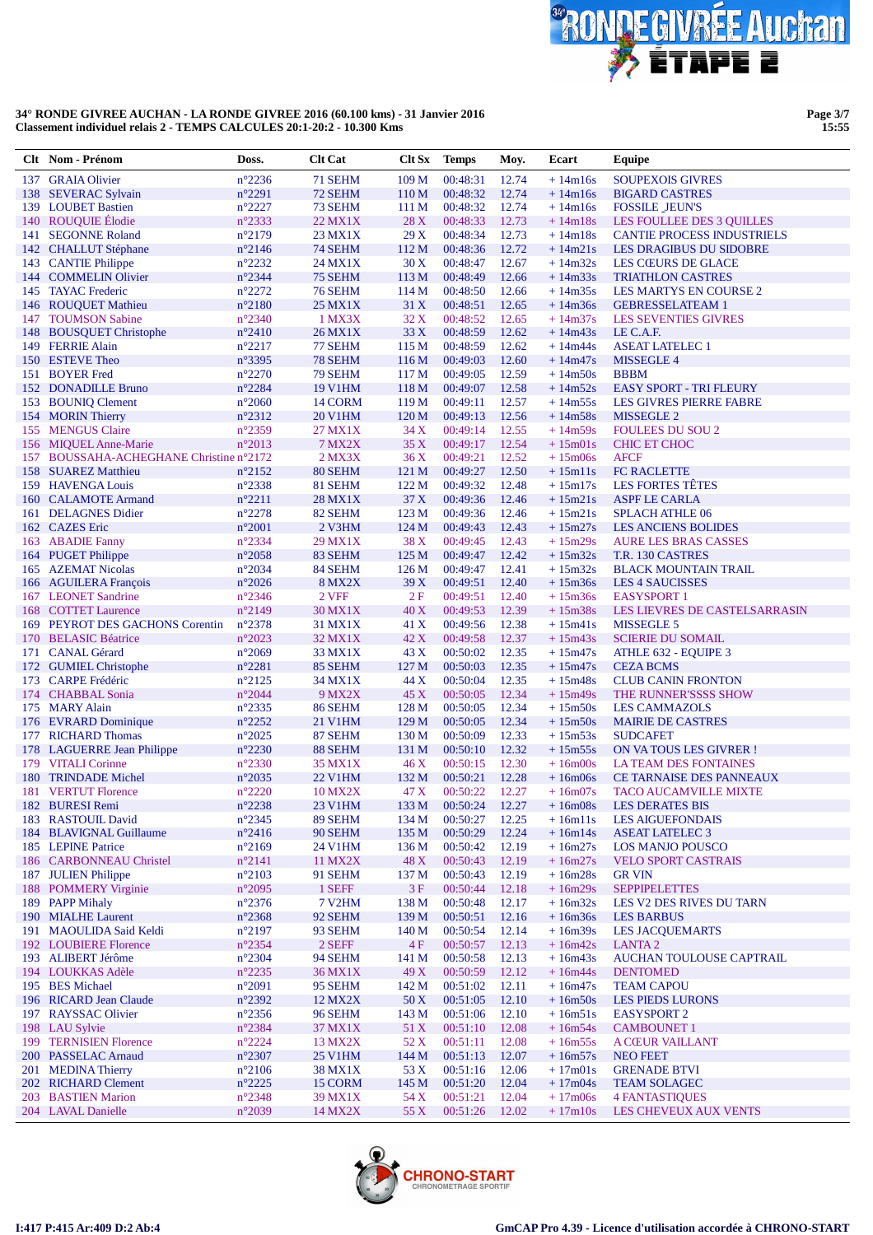

**Page 3/7 15:55**

|     | Clt Nom - Prénom                            | Doss.                              | <b>Clt Cat</b>     | Clt Sx           | <b>Temps</b>         | Moy.           | Ecart                  | Equipe                                                 |
|-----|---------------------------------------------|------------------------------------|--------------------|------------------|----------------------|----------------|------------------------|--------------------------------------------------------|
|     | 137 GRAIA Olivier                           | $n^{\circ}2236$                    | 71 SEHM            | 109 <sub>M</sub> | 00:48:31             | 12.74          | $+14m16s$              | <b>SOUPEXOIS GIVRES</b>                                |
|     | 138 SEVERAC Sylvain                         | $n^{\circ}2291$                    | 72 SEHM            | 110 <sub>M</sub> | 00:48:32             | 12.74          | $+14m16s$              | <b>BIGARD CASTRES</b>                                  |
|     | 139 LOUBET Bastien                          | $n^{\circ}2227$                    | 73 SEHM            | 111 M            | 00:48:32             | 12.74          | $+14m16s$              | <b>FOSSILE JEUN'S</b>                                  |
|     | 140 ROUQUIE Elodie                          | $n^{\circ}2333$                    | 22 MX1X            | 28X              | 00:48:33             | 12.73          | $+14m18s$              | LES FOULLEE DES 3 QUILLES                              |
| 141 | <b>SEGONNE Roland</b>                       | $n^{\circ}2179$                    | 23 MX1X            | 29X              | 00:48:34             | 12.73          | $+14m18s$              | <b>CANTIE PROCESS INDUSTRIELS</b>                      |
|     | 142 CHALLUT Stéphane                        | $n^{\circ}2146$                    | 74 SEHM            | 112 M            | 00:48:36             | 12.72          | $+14m21s$              | <b>LES DRAGIBUS DU SIDOBRE</b>                         |
|     | 143 CANTIE Philippe                         | $n^{\circ}2232$                    | 24 MX1X            | 30X              | 00:48:47             | 12.67          | $+14m32s$              | LES CŒURS DE GLACE                                     |
|     | 144 COMMELIN Olivier                        | $n^{\circ}2344$                    | 75 SEHM            | 113 M            | 00:48:49             | 12.66          | $+14m33s$              | <b>TRIATHLON CASTRES</b>                               |
|     | 145 TAYAC Frederic                          | $n^{\circ}2272$                    | 76 SEHM            | 114 M            | 00:48:50<br>00:48:51 | 12.66          | $+14m35s$              | LES MARTYS EN COURSE 2                                 |
|     | 146 ROUQUET Mathieu<br>147 TOUMSON Sabine   | $n^{\circ}2180$<br>$n^{\circ}2340$ | 25 MX1X<br>1 MX3X  | 31 X<br>32 X     | 00:48:52             | 12.65<br>12.65 | $+14m36s$<br>$+14m37s$ | <b>GEBRESSELATEAM 1</b><br><b>LES SEVENTIES GIVRES</b> |
| 148 | <b>BOUSQUET Christophe</b>                  | $n^{\circ}2410$                    | 26 MX1X            | 33 X             | 00:48:59             | 12.62          | $+14m43s$              | LE C.A.F.                                              |
|     | 149 FERRIE Alain                            | $n^{\circ}2217$                    | 77 SEHM            | 115 <sub>M</sub> | 00:48:59             | 12.62          | $+14m44s$              | <b>ASEAT LATELEC 1</b>                                 |
|     | 150 ESTEVE Theo                             | $n^{\circ}3395$                    | 78 SEHM            | 116M             | 00:49:03             | 12.60          | $+14m47s$              | <b>MISSEGLE 4</b>                                      |
| 151 | <b>BOYER</b> Fred                           | $n^{\circ}2270$                    | 79 SEHM            | 117 M            | 00:49:05             | 12.59          | $+14m50s$              | <b>BBBM</b>                                            |
|     | 152 DONADILLE Bruno                         | $n^{\circ}2284$                    | <b>19 V1HM</b>     | 118 M            | 00:49:07             | 12.58          | $+14m52s$              | <b>EASY SPORT - TRI FLEURY</b>                         |
|     | 153 BOUNIQ Clement                          | $n^{\circ}2060$                    | 14 CORM            | 119 <sub>M</sub> | 00:49:11             | 12.57          | $+14m55s$              | <b>LES GIVRES PIERRE FABRE</b>                         |
|     | 154 MORIN Thierry                           | $n^{\circ}2312$                    | <b>20 V1HM</b>     | 120 M            | 00:49:13             | 12.56          | $+14m58s$              | MISSEGLE 2                                             |
|     | 155 MENGUS Claire                           | $n^{\circ}2359$                    | 27 MX1X            | 34 X             | 00:49:14             | 12.55          | $+14m59s$              | <b>FOULEES DU SOU 2</b>                                |
|     | 156 MIQUEL Anne-Marie                       | $n^{\circ}2013$                    | <b>7 MX2X</b>      | 35 X             | 00:49:17             | 12.54          | $+15m01s$              | <b>CHIC ET CHOC</b>                                    |
|     | 157 BOUSSAHA-ACHEGHANE Christine n°2172     |                                    | $2$ MX $3X$        | 36X              | 00:49:21             | 12.52          | $+15m06s$              | <b>AFCF</b>                                            |
|     | 158 SUAREZ Matthieu                         | $n^{\circ}2152$                    | 80 SEHM            | 121 M            | 00:49:27             | 12.50          | $+15m11s$              | <b>FC RACLETTE</b>                                     |
|     | 159 HAVENGA Louis                           | $n^{\circ}2338$                    | 81 SEHM            | 122M             | 00:49:32             | 12.48          | $+15m17s$              | <b>LES FORTES TÊTES</b>                                |
|     | 160 CALAMOTE Armand                         | $n^{\circ}2211$                    | 28 MX1X            | 37 X             | 00:49:36             | 12.46          | $+15m21s$              | <b>ASPF LE CARLA</b>                                   |
|     | 161 DELAGNES Didier<br>162 CAZES Eric       | $n^{\circ}2278$<br>$n^{\circ}2001$ | 82 SEHM<br>2 V3HM  | 123 M<br>124 M   | 00:49:36<br>00:49:43 | 12.46<br>12.43 | $+15m21s$<br>$+15m27s$ | <b>SPLACH ATHLE 06</b><br><b>LES ANCIENS BOLIDES</b>   |
|     | 163 ABADIE Fanny                            | $n^{\circ}2334$                    | 29 MX1X            | 38 X             | 00:49:45             | 12.43          | $+15m29s$              | <b>AURE LES BRAS CASSES</b>                            |
|     | 164 PUGET Philippe                          | $n^{\circ}2058$                    | 83 SEHM            | 125 M            | 00:49:47             | 12.42          | $+15m32s$              | T.R. 130 CASTRES                                       |
|     | 165 AZEMAT Nicolas                          | $n^{\circ}2034$                    | 84 SEHM            | 126 <sub>M</sub> | 00:49:47             | 12.41          | $+15m32s$              | <b>BLACK MOUNTAIN TRAIL</b>                            |
|     | 166 AGUILERA François                       | $n^{\circ}2026$                    | <b>8 MX2X</b>      | 39 X             | 00:49:51             | 12.40          | $+15m36s$              | <b>LES 4 SAUCISSES</b>                                 |
|     | 167 LEONET Sandrine                         | $n^{\circ}2346$                    | 2 VFF              | 2F               | 00:49:51             | 12.40          | $+15m36s$              | <b>EASYSPORT 1</b>                                     |
|     | 168 COTTET Laurence                         | $n^{\circ}2149$                    | 30 MX1X            | 40 X             | 00:49:53             | 12.39          | $+15m38s$              | LES LIEVRES DE CASTELSARRASIN                          |
|     | 169 PEYROT DES GACHONS Corentin             | $n^{\circ}2378$                    | 31 MX1X            | 41 X             | 00:49:56             | 12.38          | $+15m41s$              | MISSEGLE 5                                             |
|     | 170 BELASIC Béatrice                        | $n^{\circ}2023$                    | 32 MX1X            | 42 X             | 00:49:58             | 12.37          | $+15m43s$              | <b>SCIERIE DU SOMAIL</b>                               |
|     | 171 CANAL Gérard                            | $n^{\circ}2069$                    | 33 MX1X            | 43 X             | 00:50:02             | 12.35          | $+15m47s$              | ATHLE 632 - EQUIPE 3                                   |
|     | 172 GUMIEL Christophe                       | $n^{\circ}2281$                    | 85 SEHM            | 127 M            | 00:50:03             | 12.35          | $+15m47s$              | <b>CEZA BCMS</b>                                       |
|     | 173 CARPE Frédéric                          | $n^{\circ}2125$                    | 34 MX1X            | 44 X             | 00:50:04             | 12.35          | $+15m48s$              | <b>CLUB CANIN FRONTON</b>                              |
|     | 174 CHABBAL Sonia                           | $n^{\circ}2044$                    | 9 MX2X             | 45 X             | 00:50:05             | 12.34          | $+15m49s$              | THE RUNNER'SSSS SHOW                                   |
|     | 175 MARY Alain<br>176 EVRARD Dominique      | $n^{\circ}2335$<br>$n^{\circ}2252$ | 86 SEHM<br>21 V1HM | 128 M<br>129 M   | 00:50:05<br>00:50:05 | 12.34<br>12.34 | $+15m50s$<br>$+15m50s$ | <b>LES CAMMAZOLS</b><br><b>MAIRIE DE CASTRES</b>       |
|     | 177 RICHARD Thomas                          | $n^{\circ}2025$                    | 87 SEHM            | 130 M            | 00:50:09             | 12.33          | $+15m53s$              | <b>SUDCAFET</b>                                        |
|     | 178 LAGUERRE Jean Philippe                  | $n^{\circ}2230$                    | 88 SEHM            | 131 M            | 00:50:10             | 12.32          | $+15m55s$              | ON VATOUS LES GIVRER !                                 |
|     | 179 VITALI Corinne                          | $n^{\circ}2330$                    | 35 MX1X            | 46X              | 00:50:15             | 12.30          | $+16m00s$              | <b>LA TEAM DES FONTAINES</b>                           |
|     | 180 TRINDADE Michel                         | $n^{\circ}2035$                    | 22 V1HM            | 132 M            | 00:50:21             | 12.28          | $+16m06s$              | CE TARNAISE DES PANNEAUX                               |
|     | 181 VERTUT Florence                         | $n^{\circ}2220$                    | <b>10 MX2X</b>     | 47 X             | 00:50:22             | 12.27          | $+16m07s$              | <b>TACO AUCAMVILLE MIXTE</b>                           |
|     | 182 BURESI Remi                             | $n^{\circ}2238$                    | 23 V1HM            |                  | 133 M 00:50:24 12.27 |                |                        | +16m08s LES DERATES BIS                                |
|     | 183 RASTOUIL David                          | $n^{\circ}2345$                    | 89 SEHM            | 134 M            | 00:50:27             | 12.25          | $+16m11s$              | <b>LES AIGUEFONDAIS</b>                                |
|     | 184 BLAVIGNAL Guillaume                     | $n^{\circ}2416$                    | 90 SEHM            | 135 M            | 00:50:29             | 12.24          | $+16m14s$              | <b>ASEAT LATELEC 3</b>                                 |
|     | 185 LEPINE Patrice                          | $n^{\circ}2169$                    | 24 V1HM            | 136 M            | 00:50:42             | 12.19          | $+16m27s$              | <b>LOS MANJO POUSCO</b>                                |
|     | 186 CARBONNEAU Christel                     | $n^{\circ}2141$                    | 11 MX2X            | 48 X             | 00:50:43             | 12.19          | $+16m27s$              | <b>VELO SPORT CASTRAIS</b>                             |
|     | 187 JULIEN Philippe<br>188 POMMERY Virginie | $n^{\circ}2103$<br>$n^{\circ}2095$ | 91 SEHM<br>1 SEFF  | 137 M<br>3F      | 00:50:43<br>00:50:44 | 12.19<br>12.18 | $+16m28s$<br>$+16m29s$ | <b>GR VIN</b><br><b>SEPPIPELETTES</b>                  |
|     | 189 PAPP Mihaly                             | $n^{\circ}2376$                    | <b>7 V2HM</b>      | 138 M            | 00:50:48             | 12.17          | $+16m32s$              | LES V2 DES RIVES DU TARN                               |
|     | 190 MIALHE Laurent                          | $n^{\circ}2368$                    | 92 SEHM            | 139 M            | 00:50:51             | 12.16          | $+16m36s$              | <b>LES BARBUS</b>                                      |
|     | 191 MAOULIDA Said Keldi                     | $n^{\circ}2197$                    | 93 SEHM            | 140 M            | 00:50:54             | 12.14          | $+16m39s$              | <b>LES JACQUEMARTS</b>                                 |
|     | 192 LOUBIERE Florence                       | $n^{\circ}2354$                    | 2 SEFF             | 4F               | 00:50:57             | 12.13          | $+16m42s$              | <b>LANTA2</b>                                          |
|     | 193 ALIBERT Jérôme                          | $n^{\circ}2304$                    | 94 SEHM            | 141 M            | 00:50:58             | 12.13          | $+16m43s$              | AUCHAN TOULOUSE CAPTRAIL                               |
|     | 194 LOUKKAS Adèle                           | $n^{\circ}2235$                    | 36 MX1X            | 49 X             | 00:50:59             | 12.12          | $+16m44s$              | <b>DENTOMED</b>                                        |
|     | 195 BES Michael                             | $n^{\circ}2091$                    | 95 SEHM            | 142 M            | 00:51:02             | 12.11          | $+16m47s$              | <b>TEAM CAPOU</b>                                      |
|     | 196 RICARD Jean Claude                      | $n^{\circ}2392$                    | 12 MX2X            | 50 X             | 00:51:05             | 12.10          | $+16m50s$              | <b>LES PIEDS LURONS</b>                                |
|     | 197 RAYSSAC Olivier                         | $n^{\circ}2356$                    | 96 SEHM            | 143 M            | 00:51:06             | 12.10          | $+16m51s$              | <b>EASYSPORT 2</b>                                     |
|     | 198 LAU Sylvie                              | $n^{\circ}2384$                    | 37 MX1X            | 51 X             | 00:51:10             | 12.08          | $+16m54s$              | <b>CAMBOUNET 1</b>                                     |
|     | 199 TERNISIEN Florence                      | $n^{\circ}2224$                    | 13 MX2X            | 52 X             | 00:51:11             | 12.08          | $+16m55s$              | A CŒUR VAILLANT                                        |
|     | 200 PASSELAC Arnaud                         | $n^{\circ}2307$                    | <b>25 V1HM</b>     | 144 M            | 00:51:13             | 12.07          | $+16m57s$              | <b>NEO FEET</b>                                        |
|     | 201 MEDINA Thierry<br>202 RICHARD Clement   | $n^{\circ}2106$<br>$n^{\circ}2225$ | 38 MX1X<br>15 CORM | 53 X<br>145 M    | 00:51:16<br>00:51:20 | 12.06<br>12.04 | $+17m01s$<br>$+17m04s$ | <b>GRENADE BTVI</b><br><b>TEAM SOLAGEC</b>             |
|     | 203 BASTIEN Marion                          | $n^{\circ}2348$                    | 39 MX1X            | 54 X             | 00:51:21             | 12.04          | $+17m06s$              | <b>4 FANTASTIQUES</b>                                  |
|     | 204 LAVAL Danielle                          | $n^{\circ}2039$                    | 14 MX2X            | 55 X             | 00:51:26             | 12.02          | $+17m10s$              | LES CHEVEUX AUX VENTS                                  |
|     |                                             |                                    |                    |                  |                      |                |                        |                                                        |

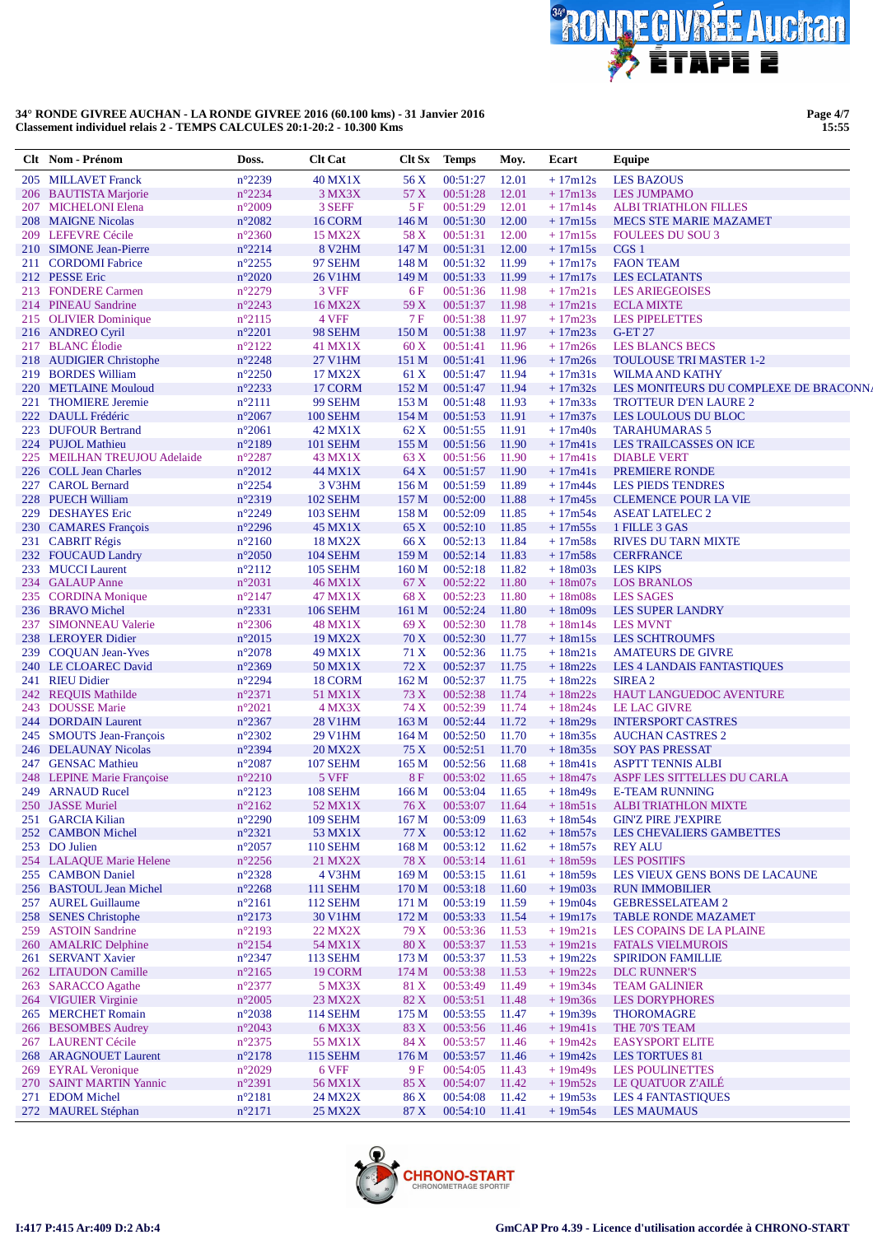

Page 4/7<br>15:55

|     | Clt Nom - Prénom                              | Doss.                              | <b>Clt Cat</b>             | Clt Sx                   | <b>Temps</b>         | Moy.           | Ecart                  | Equipe                                                |
|-----|-----------------------------------------------|------------------------------------|----------------------------|--------------------------|----------------------|----------------|------------------------|-------------------------------------------------------|
|     | 205 MILLAVET Franck                           | $n^{\circ}2239$                    | <b>40 MX1X</b>             | 56 X                     | 00:51:27             | 12.01          | $+17m12s$              | <b>LES BAZOUS</b>                                     |
|     | 206 BAUTISTA Marjorie                         | $n^{\circ}2234$                    | 3 MX3X                     | 57 X                     | 00:51:28             | 12.01          | $+17m13s$              | <b>LES JUMPAMO</b>                                    |
|     | 207 MICHELONI Elena                           | $n^{\circ}2009$                    | 3 SEFF                     | 5F                       | 00:51:29             | 12.01          | $+17m14s$              | <b>ALBI TRIATHLON FILLES</b>                          |
|     | 208 MAIGNE Nicolas                            | $n^{\circ}2082$                    | 16 CORM                    | 146 M                    | 00:51:30             | 12.00          | $+17m15s$              | MECS STE MARIE MAZAMET                                |
|     | 209 LEFEVRE Cécile                            | $n^{\circ}2360$                    | <b>15 MX2X</b>             | 58 X                     | 00:51:31             | 12.00          | $+17m15s$              | <b>FOULEES DU SOU 3</b>                               |
|     | 210 SIMONE Jean-Pierre                        | $n^{\circ}2214$                    | <b>8 V2HM</b>              | 147 M                    | 00:51:31             | 12.00          | $+17m15s$              | CGS 1                                                 |
| 211 | <b>CORDOMI</b> Fabrice                        | $n^{\circ}2255$                    | 97 SEHM                    | 148 M                    | 00:51:32             | 11.99          | $+17m17s$              | <b>FAON TEAM</b>                                      |
|     | 212 PESSE Eric                                | $n^{\circ}2020$                    | <b>26 V1HM</b>             | 149 M                    | 00:51:33             | 11.99          | $+17m17s$              | <b>LES ECLATANTS</b>                                  |
|     | 213 FONDERE Carmen                            | $n^{\circ}2279$                    | 3 VFF                      | $6F$                     | 00:51:36             | 11.98          | $+17m21s$              | <b>LES ARIEGEOISES</b>                                |
|     | 214 PINEAU Sandrine                           | $n^{\circ}2243$                    | 16 MX2X                    | 59 X                     | 00:51:37             | 11.98          | $+17m21s$              | <b>ECLA MIXTE</b>                                     |
|     | 215 OLIVIER Dominique                         | $n^{\circ}2115$                    | 4 VFF                      | 7 F                      | 00:51:38             | 11.97          | $+17m23s$              | <b>LES PIPELETTES</b>                                 |
|     | 216 ANDREO Cyril                              | $n^{\circ}2201$                    | 98 SEHM                    | 150 M                    | 00:51:38             | 11.97          | $+17m23s$              | <b>G-ET 27</b>                                        |
|     | 217 BLANC Élodie                              | $n^{\circ}2122$                    | 41 MX1X                    | 60X                      | 00:51:41             | 11.96          | $+17m26s$              | <b>LES BLANCS BECS</b>                                |
|     | 218 AUDIGIER Christophe                       | $n^{\circ}2248$                    | 27 V1HM                    | 151 M                    | 00:51:41             | 11.96          | $+17m26s$              | <b>TOULOUSE TRI MASTER 1-2</b>                        |
|     | 219 BORDES William                            | $n^{\circ}2250$                    | 17 MX2X                    | 61 X                     | 00:51:47             | 11.94          | $+17m31s$              | <b>WILMA AND KATHY</b>                                |
|     | 220 METLAINE Mouloud                          | $n^{\circ}2233$                    | 17 CORM                    | 152 M                    | 00:51:47             | 11.94          | $+17m32s$              | LES MONITEURS DU COMPLEXE DE BRACONN                  |
| 221 | <b>THOMIERE Jeremie</b><br>222 DAULL Frédéric | $n^{\circ}2111$<br>$n^{\circ}2067$ | 99 SEHM<br><b>100 SEHM</b> | 153M                     | 00:51:48             | 11.93<br>11.91 | $+17m33s$<br>$+17m37s$ | <b>TROTTEUR D'EN LAURE 2</b>                          |
|     | 223 DUFOUR Bertrand                           | $n^{\circ}2061$                    | 42 MX1X                    | 154 M<br>62 X            | 00:51:53<br>00:51:55 | 11.91          | $+17m40s$              | LES LOULOUS DU BLOC<br><b>TARAHUMARAS 5</b>           |
|     | 224 PUJOL Mathieu                             | n°2189                             | <b>101 SEHM</b>            | 155 M                    | 00:51:56             | 11.90          | $+17m41s$              | LES TRAILCASSES ON ICE                                |
|     | 225 MEILHAN TREUJOU Adelaide                  | $n^{\circ}2287$                    | 43 MX1X                    | 63 X                     | 00:51:56             | 11.90          | $+17m41s$              | <b>DIABLE VERT</b>                                    |
|     | 226 COLL Jean Charles                         | $n^{\circ}2012$                    | 44 MX1X                    | 64 X                     | 00:51:57             | 11.90          | $+17m41s$              | PREMIERE RONDE                                        |
|     | 227 CAROL Bernard                             | $n^{\circ}2254$                    | 3 V3HM                     | 156M                     | 00:51:59             | 11.89          | $+17m44s$              | <b>LES PIEDS TENDRES</b>                              |
|     | 228 PUECH William                             | $n^{\circ}2319$                    | <b>102 SEHM</b>            | 157 M                    | 00:52:00             | 11.88          | $+17m45s$              | <b>CLEMENCE POUR LA VIE</b>                           |
|     | 229 DESHAYES Eric                             | $n^{\circ}2249$                    | <b>103 SEHM</b>            | 158 M                    | 00:52:09             | 11.85          | $+17m54s$              | <b>ASEAT LATELEC 2</b>                                |
|     | 230 CAMARES François                          | $n^{\circ}2296$                    | <b>45 MX1X</b>             | 65 X                     | 00:52:10             | 11.85          | $+17m55s$              | 1 FILLE 3 GAS                                         |
|     | 231 CABRIT Régis                              | $n^{\circ}2160$                    | <b>18 MX2X</b>             | 66 X                     | 00:52:13             | 11.84          | $+17m58s$              | <b>RIVES DU TARN MIXTE</b>                            |
|     | 232 FOUCAUD Landry                            | $n^{\circ}2050$                    | <b>104 SEHM</b>            | 159 M                    | 00:52:14             | 11.83          | $+17m58s$              | <b>CERFRANCE</b>                                      |
|     | 233 MUCCI Laurent                             | $n^{\circ}2112$                    | <b>105 SEHM</b>            | 160 <sub>M</sub>         | 00:52:18             | 11.82          | $+18m03s$              | <b>LES KIPS</b>                                       |
|     | 234 GALAUP Anne                               | $n^{\circ}2031$                    | 46 MX1X                    | 67 X                     | 00:52:22             | 11.80          | $+18m07s$              | <b>LOS BRANLOS</b>                                    |
|     | 235 CORDINA Monique                           | $n^{\circ}2147$                    | 47 MX1X                    | 68 X                     | 00:52:23             | 11.80          | $+18m08s$              | <b>LES SAGES</b>                                      |
|     | 236 BRAVO Michel                              | $n^{\circ}2331$                    | <b>106 SEHM</b>            | 161 M                    | 00:52:24             | 11.80          | $+18m09s$              | <b>LES SUPER LANDRY</b>                               |
| 237 | <b>SIMONNEAU Valerie</b>                      | $n^{\circ}2306$                    | <b>48 MX1X</b>             | 69 X                     | 00:52:30             | 11.78          | $+18m14s$              | <b>LES MVNT</b>                                       |
|     | 238 LEROYER Didier                            | $n^{\circ}2015$                    | <b>19 MX2X</b>             | 70 X                     | 00:52:30             | 11.77          | $+18m15s$              | <b>LES SCHTROUMFS</b>                                 |
|     | 239 COQUAN Jean-Yves                          | $n^{\circ}2078$                    | 49 MX1X                    | 71 X                     | 00:52:36             | 11.75          | $+18m21s$              | <b>AMATEURS DE GIVRE</b>                              |
|     | 240 LE CLOAREC David                          | n°2369                             | 50 MX1X                    | 72 X                     | 00:52:37             | 11.75          | $+18m22s$              | <b>LES 4 LANDAIS FANTASTIQUES</b>                     |
|     | 241 RIEU Didier                               | $n^{\circ}2294$                    | 18 CORM                    | 162 M                    | 00:52:37             | 11.75          | $+18m22s$              | SIREA <sub>2</sub>                                    |
|     | 242 REQUIS Mathilde                           | $n^{\circ}2371$                    | 51 MX1X                    | 73 X                     | 00:52:38             | 11.74          | $+18m22s$              | HAUT LANGUEDOC AVENTURE                               |
|     | 243 DOUSSE Marie                              | $n^{\circ}2021$                    | 4 MX3X                     | 74 X                     | 00:52:39             | 11.74          | $+18m24s$              | <b>LE LAC GIVRE</b>                                   |
|     | 244 DORDAIN Laurent                           | $n^{\circ}2367$                    | <b>28 V1HM</b>             | 163 M                    | 00:52:44             | 11.72          | $+18m29s$              | <b>INTERSPORT CASTRES</b>                             |
|     | 245 SMOUTS Jean-François                      | $n^{\circ}2302$                    | 29 V1HM                    | 164M                     | 00:52:50             | 11.70          | $+18m35s$              | <b>AUCHAN CASTRES 2</b>                               |
|     | 246 DELAUNAY Nicolas                          | n°2394                             | <b>20 MX2X</b>             | 75 X                     | 00:52:51             | 11.70          | $+18m35s$              | <b>SOY PAS PRESSAT</b>                                |
|     | 247 GENSAC Mathieu                            | $n^{\circ}2087$                    | <b>107 SEHM</b>            | 165 <sub>M</sub>         | 00:52:56             | 11.68          | $+18m41s$              | <b>ASPTT TENNIS ALBI</b>                              |
|     | 248 LEPINE Marie Françoise                    | $n^{\circ}2210$                    | 5 VFF                      | 8F                       | 00:53:02             | 11.65          | $+18m47s$              | ASPF LES SITTELLES DU CARLA                           |
|     | 249 ARNAUD Rucel                              | $n^{\circ}2123$                    | 108 SEHM                   | 166M                     | 00:53:04             | 11.65          | $+18m49s$              | <b>E-TEAM RUNNING</b>                                 |
|     | 250 JASSE Muriel                              | $n^{\circ}2162$                    | 52 MX1X                    | 76 X                     | 00:53:07 11.64       |                |                        | +18m51s ALBITRIATHLON MIXTE                           |
|     | 251 GARCIA Kilian                             | $n^{\circ}2290$                    | <b>109 SEHM</b>            | 167 M                    | 00:53:09             | 11.63          | $+18m54s$              | <b>GIN'Z PIRE J'EXPIRE</b>                            |
|     | 252 CAMBON Michel                             | $n^{\circ}2321$                    | 53 MX1X                    | 77 X                     | 00:53:12             | 11.62          | $+18m57s$              | <b>LES CHEVALIERS GAMBETTES</b>                       |
|     | 253 DO Julien                                 | $n^{\circ}2057$                    | <b>110 SEHM</b>            | 168 M                    | 00:53:12             | 11.62          | $+18m57s$              | <b>REY ALU</b>                                        |
|     | 254 LALAQUE Marie Helene<br>255 CAMBON Daniel | $n^{\circ}2256$<br>$n^{\circ}2328$ | 21 MX2X<br>4 V3HM          | 78 X<br>169 <sub>M</sub> | 00:53:14<br>00:53:15 | 11.61          | $+18m59s$<br>$+18m59s$ | <b>LES POSITIFS</b><br>LES VIEUX GENS BONS DE LACAUNE |
|     | 256 BASTOUL Jean Michel                       | $n^{\circ}2268$                    | <b>111 SEHM</b>            | 170 <sub>M</sub>         | 00:53:18             | 11.61<br>11.60 | $+19m03s$              | <b>RUN IMMOBILIER</b>                                 |
|     | 257 AUREL Guillaume                           | $n^{\circ}2161$                    | <b>112 SEHM</b>            | 171 M                    | 00:53:19             | 11.59          | $+19m04s$              | <b>GEBRESSELATEAM 2</b>                               |
|     | 258 SENES Christophe                          | $n^{\circ}2173$                    | <b>30 V1HM</b>             | 172 M                    | 00:53:33             | 11.54          | $+19m17s$              | <b>TABLE RONDE MAZAMET</b>                            |
|     | 259 ASTOIN Sandrine                           | $n^{\circ}2193$                    | 22 MX2X                    | 79 X                     | 00:53:36             | 11.53          | $+19m21s$              | LES COPAINS DE LA PLAINE                              |
|     | 260 AMALRIC Delphine                          | $n^{\circ}2154$                    | 54 MX1X                    | 80 X                     | 00:53:37             | 11.53          | $+19m21s$              | <b>FATALS VIELMUROIS</b>                              |
|     | 261 SERVANT Xavier                            | $n^{\circ}2347$                    | 113 SEHM                   | 173 M                    | 00:53:37             | 11.53          | $+19m22s$              | <b>SPIRIDON FAMILLIE</b>                              |
|     | 262 LITAUDON Camille                          | $n^{\circ}2165$                    | 19 CORM                    | 174 M                    | 00:53:38             | 11.53          | $+19m22s$              | <b>DLC RUNNER'S</b>                                   |
|     | 263 SARACCO Agathe                            | $n^{\circ}2377$                    | 5 MX3X                     | 81 X                     | 00:53:49             | 11.49          | $+19m34s$              | <b>TEAM GALINIER</b>                                  |
|     | 264 VIGUIER Virginie                          | $n^{\circ}2005$                    | 23 MX2X                    | 82 X                     | 00:53:51             | 11.48          | $+19m36s$              | <b>LES DORYPHORES</b>                                 |
|     | 265 MERCHET Romain                            | $n^{\circ}2038$                    | <b>114 SEHM</b>            | 175 M                    | 00:53:55             | 11.47          | $+19m39s$              | <b>THOROMAGRE</b>                                     |
|     | 266 BESOMBES Audrey                           | $n^{\circ}2043$                    | 6 MX3X                     | 83 X                     | 00:53:56             | 11.46          | $+19m41s$              | THE 70'S TEAM                                         |
|     | 267 LAURENT Cécile                            | $n^{\circ}2375$                    | 55 MX1X                    | 84 X                     | 00:53:57             | 11.46          | $+19m42s$              | <b>EASYSPORT ELITE</b>                                |
|     | 268 ARAGNOUET Laurent                         | $n^{\circ}2178$                    | <b>115 SEHM</b>            | 176 M                    | 00:53:57             | 11.46          | $+19m42s$              | <b>LES TORTUES 81</b>                                 |
|     | 269 EYRAL Veronique                           | $n^{\circ}2029$                    | 6 VFF                      | 9 F                      | 00:54:05             | 11.43          | $+19m49s$              | <b>LES POULINETTES</b>                                |
|     | 270 SAINT MARTIN Yannic                       | $n^{\circ}2391$                    | 56 MX1X                    | 85 X                     | 00:54:07             | 11.42          | $+19m52s$              | LE QUATUOR Z'AILÉ                                     |
|     | 271 EDOM Michel                               | $n^{\circ}2181$                    | 24 MX2X                    | 86 X                     | 00:54:08             | 11.42          | $+19m53s$              | <b>LES 4 FANTASTIQUES</b>                             |
|     | 272 MAUREL Stéphan                            | $n^{\circ}2171$                    | 25 MX2X                    | 87 X                     | 00:54:10 11.41       |                | $+19m54s$              | <b>LES MAUMAUS</b>                                    |

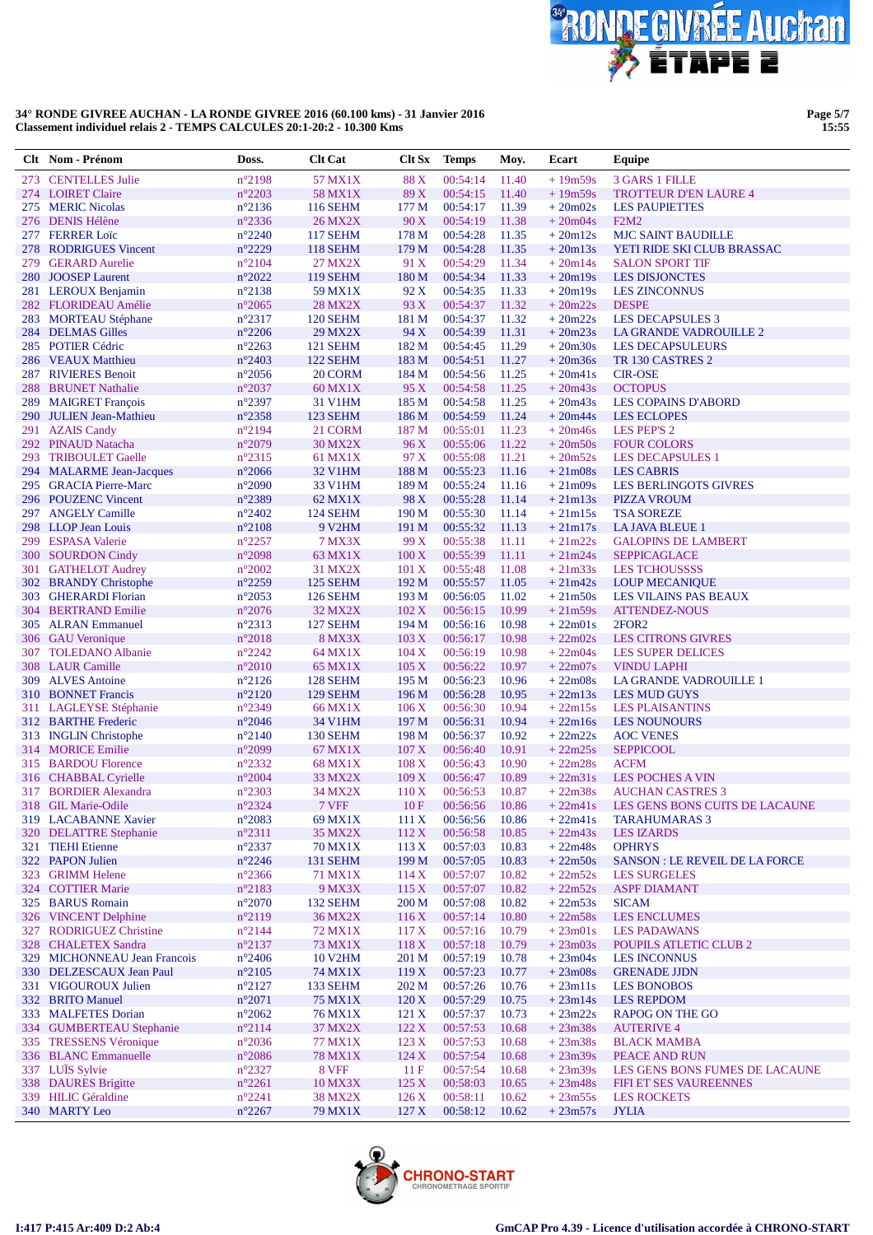

Page 5/7<br>15:55

|            | Clt Nom - Prénom                                   | Doss.                              | <b>Clt Cat</b>             | Clt Sx            | <b>Temps</b>         | Moy.           | Ecart                  | Equipe                                                         |
|------------|----------------------------------------------------|------------------------------------|----------------------------|-------------------|----------------------|----------------|------------------------|----------------------------------------------------------------|
|            | 273 CENTELLES Julie                                | n°2198                             | 57 MX1X                    | 88 X              | 00:54:14             | 11.40          | $+19m59s$              | <b>3 GARS 1 FILLE</b>                                          |
|            | 274 LOIRET Claire                                  | $n^{\circ}2203$                    | 58 MX1X                    | 89 X              | 00:54:15             | 11.40          | $+19m59s$              | <b>TROTTEUR D'EN LAURE 4</b>                                   |
|            | 275 MERIC Nicolas                                  | $n^{\circ}2136$                    | <b>116 SEHM</b>            | 177 M             | 00:54:17             | 11.39          | $+20m02s$              | <b>LES PAUPIETTES</b>                                          |
|            | 276 DENIS Hélène                                   | $n^{\circ}2336$                    | <b>26 MX2X</b>             | 90 X              | 00:54:19             | 11.38          | $+20m04s$              | <b>F2M2</b>                                                    |
|            | 277 FERRER Loïc                                    | $n^{\circ}2240$                    | <b>117 SEHM</b>            | 178 M             | 00:54:28             | 11.35          | $+20m12s$              | <b>MJC SAINT BAUDILLE</b>                                      |
| 278        | <b>RODRIGUES Vincent</b>                           | $n^{\circ}2229$                    | <b>118 SEHM</b>            | 179 <sub>M</sub>  | 00:54:28             | 11.35          | $+20m13s$              | YETI RIDE SKI CLUB BRASSAC                                     |
| 279        | <b>GERARD Aurelie</b>                              | $n^{\circ}2104$                    | 27 MX2X                    | 91 X              | 00:54:29             | 11.34          | $+20m14s$              | <b>SALON SPORT TIF</b>                                         |
| <b>280</b> | <b>JOOSEP Laurent</b>                              | $n^{\circ}2022$                    | <b>119 SEHM</b>            | 180 M             | 00:54:34             | 11.33          | $+20m19s$              | <b>LES DISJONCTES</b>                                          |
|            | 281 LEROUX Benjamin                                | $n^{\circ}2138$                    | 59 MX1X                    | 92 X              | 00:54:35             | 11.33          | $+20m19s$              | <b>LES ZINCONNUS</b>                                           |
|            | 282 FLORIDEAU Amélie                               | $n^{\circ}2065$<br>$n^{\circ}2317$ | <b>28 MX2X</b><br>120 SEHM | 93 X<br>181 M     | 00:54:37<br>00:54:37 | 11.32<br>11.32 | $+20m22s$<br>$+20m22s$ | <b>DESPE</b><br><b>LES DECAPSULES 3</b>                        |
|            | 283 MORTEAU Stéphane<br>284 DELMAS Gilles          | $n^{\circ}2206$                    | <b>29 MX2X</b>             | 94 X              | 00:54:39             | 11.31          | $+20m23s$              | LA GRANDE VADROUILLE 2                                         |
|            | 285 POTIER Cédric                                  | $n^{\circ}2263$                    | <b>121 SEHM</b>            | 182 M             | 00:54:45             | 11.29          | $+20m30s$              | <b>LES DECAPSULEURS</b>                                        |
|            | 286 VEAUX Matthieu                                 | $n^{\circ}2403$                    | 122 SEHM                   | 183 M             | 00:54:51             | 11.27          | $+20m36s$              | TR 130 CASTRES 2                                               |
|            | 287 RIVIERES Benoit                                | $n^{\circ}2056$                    | 20 CORM                    | 184 M             | 00:54:56             | 11.25          | $+20m41s$              | <b>CIR-OSE</b>                                                 |
| 288        | <b>BRUNET Nathalie</b>                             | $n^{\circ}2037$                    | 60 MX1X                    | 95X               | 00:54:58             | 11.25          | $+20m43s$              | <b>OCTOPUS</b>                                                 |
|            | 289 MAIGRET François                               | $n^{\circ}2397$                    | 31 V1HM                    | 185 M             | 00:54:58             | 11.25          | $+20m43s$              | <b>LES COPAINS D'ABORD</b>                                     |
|            | 290 JULIEN Jean-Mathieu                            | $n^{\circ}2358$                    | 123 SEHM                   | 186 M             | 00:54:59             | 11.24          | $+20m44s$              | <b>LES ECLOPES</b>                                             |
|            | 291 AZAIS Candy                                    | $n^{\circ}2194$                    | 21 CORM                    | 187 M             | 00:55:01             | 11.23          | $+20m46s$              | LES PEP'S 2                                                    |
|            | 292 PINAUD Natacha                                 | $n^{\circ}2079$                    | <b>30 MX2X</b>             | 96 X              | 00:55:06             | 11.22          | $+20m50s$              | <b>FOUR COLORS</b>                                             |
|            | 293 TRIBOULET Gaelle                               | $n^{\circ}2315$                    | 61 MX1X                    | 97 X              | 00:55:08             | 11.21          | $+20m52s$              | <b>LES DECAPSULES 1</b>                                        |
|            | 294 MALARME Jean-Jacques<br>295 GRACIA Pierre-Marc | $n^{\circ}2066$                    | 32 V1HM                    | 188 M             | 00:55:23             | 11.16          | $+21m08s$              | <b>LES CABRIS</b>                                              |
|            | 296 POUZENC Vincent                                | $n^{\circ}2090$<br>$n^{\circ}2389$ | 33 V1HM<br>62 MX1X         | 189 M<br>98 X     | 00:55:24<br>00:55:28 | 11.16<br>11.14 | $+21m09s$<br>$+21m13s$ | <b>LES BERLINGOTS GIVRES</b><br><b>PIZZA VROUM</b>             |
|            | 297 ANGELY Camille                                 | $n^{\circ}2402$                    | 124 SEHM                   | 190 <sub>M</sub>  | 00:55:30             | 11.14          | $+21m15s$              | <b>TSA SOREZE</b>                                              |
| 298        | <b>LLOP</b> Jean Louis                             | $n^{\circ}2108$                    | 9 V2HM                     | 191 M             | 00:55:32             | 11.13          | $+21m17s$              | <b>LA JAVA BLEUE 1</b>                                         |
|            | 299 ESPASA Valerie                                 | $n^{\circ}2257$                    | <b>7 MX3X</b>              | 99 X              | 00:55:38             | 11.11          | $+21m22s$              | <b>GALOPINS DE LAMBERT</b>                                     |
|            | 300 SOURDON Cindy                                  | $n^{\circ}2098$                    | 63 MX1X                    | $100\,\mathrm{X}$ | 00:55:39             | 11.11          | $+21m24s$              | <b>SEPPICAGLACE</b>                                            |
| 301        | <b>GATHELOT Audrey</b>                             | $n^{\circ}2002$                    | 31 MX2X                    | 101 X             | 00:55:48             | 11.08          | $+21m33s$              | <b>LES TCHOUSSSS</b>                                           |
|            | 302 BRANDY Christophe                              | $n^{\circ}2259$                    | 125 SEHM                   | 192 M             | 00:55:57             | 11.05          | $+21m42s$              | <b>LOUP MECANIQUE</b>                                          |
|            | 303 GHERARDI Florian                               | $n^{\circ}2053$                    | <b>126 SEHM</b>            | 193 M             | 00:56:05             | 11.02          | $+21m50s$              | LES VILAINS PAS BEAUX                                          |
|            | 304 BERTRAND Emilie                                | $n^{\circ}2076$                    | 32 MX2X                    | 102 X             | 00:56:15             | 10.99          | $+21m59s$              | <b>ATTENDEZ-NOUS</b>                                           |
|            | 305 ALRAN Emmanuel                                 | $n^{\circ}2313$                    | 127 SEHM                   | 194 M             | 00:56:16             | 10.98          | $+22m01s$              | 2FOR <sub>2</sub>                                              |
|            | 306 GAU Veronique                                  | $n^{\circ}2018$                    | <b>8 MX3X</b>              | 103 X             | 00:56:17             | 10.98          | $+22m02s$              | <b>LES CITRONS GIVRES</b>                                      |
|            | 307 TOLEDANO Albanie<br>308 LAUR Camille           | $n^{\circ}2242$<br>$n^{\circ}2010$ | 64 MX1X<br><b>65 MX1X</b>  | 104 X<br>105 X    | 00:56:19<br>00:56:22 | 10.98<br>10.97 | $+22m04s$<br>$+22m07s$ | <b>LES SUPER DELICES</b><br><b>VINDU LAPHI</b>                 |
|            | 309 ALVES Antoine                                  | $n^{\circ}2126$                    | 128 SEHM                   | 195 M             | 00:56:23             | 10.96          | $+22m08s$              | LA GRANDE VADROUILLE 1                                         |
| 310        | <b>BONNET Francis</b>                              | $n^{\circ}2120$                    | 129 SEHM                   | 196 <sub>M</sub>  | 00:56:28             | 10.95          | $+22m13s$              | <b>LES MUD GUYS</b>                                            |
|            | 311 LAGLEYSE Stéphanie                             | $n^{\circ}2349$                    | <b>66 MX1X</b>             | 106 X             | 00:56:30             | 10.94          | $+22m15s$              | <b>LES PLAISANTINS</b>                                         |
|            | 312 BARTHE Frederic                                | $n^{\circ}2046$                    | 34 V1HM                    | 197 M             | 00:56:31             | 10.94          | $+22m16s$              | <b>LES NOUNOURS</b>                                            |
|            | 313 INGLIN Christophe                              | $n^{\circ}2140$                    | <b>130 SEHM</b>            | 198 M             | 00:56:37             | 10.92          | $+22m22s$              | <b>AOC VENES</b>                                               |
|            | 314 MORICE Emilie                                  | $n^{\circ}2099$                    | 67 MX1X                    | 107 X             | 00:56:40             | 10.91          | $+22m25s$              | <b>SEPPICOOL</b>                                               |
|            | 315 BARDOU Florence                                | $n^{\circ}2332$                    | 68 MX1X                    | 108 X             | 00:56:43             | 10.90          | $+22m28s$              | <b>ACFM</b>                                                    |
|            | 316 CHABBAL Cyrielle                               | $n^{\circ}2004$                    | 33 MX2X                    | 109 X             | 00:56:47             | 10.89          | $+22m31s$              | <b>LES POCHES A VIN</b>                                        |
|            | 317 BORDIER Alexandra                              | $n^{\circ}2303$                    | 34 MX2X                    | 110X              | 00:56:53             | 10.87          | $+22m38s$              | <b>AUCHAN CASTRES 3</b>                                        |
|            | 318 GIL Marie-Odile<br>319 LACABANNE Xavier        | $n^{\circ}2324$                    | 7 VFF                      | 10F               | 00:56:56 10.86       |                | $+22m41s$              | +22m41s LES GENS BONS CUITS DE LACAUNE<br><b>TARAHUMARAS 3</b> |
| <b>320</b> | <b>DELATTRE Stephanie</b>                          | $n^{\circ}2083$<br>$n^{\circ}2311$ | 69 MX1X<br>35 MX2X         | 111X<br>112 X     | 00:56:56<br>00:56:58 | 10.86<br>10.85 | $+22m43s$              | <b>LES IZARDS</b>                                              |
|            | 321 TIEHI Etienne                                  | $n^{\circ}2337$                    | 70 MX1X                    | 113 X             | 00:57:03             | 10.83          | $+22m48s$              | <b>OPHRYS</b>                                                  |
|            | 322 PAPON Julien                                   | $n^{\circ}2246$                    | 131 SEHM                   | 199 <sub>M</sub>  | 00:57:05             | 10.83          | $+22m50s$              | <b>SANSON : LE REVEIL DE LA FORCE</b>                          |
|            | 323 GRIMM Helene                                   | $n^{\circ}2366$                    | 71 MX1X                    | 114X              | 00:57:07             | 10.82          | $+22m52s$              | <b>LES SURGELES</b>                                            |
|            | 324 COTTIER Marie                                  | $n^{\circ}2183$                    | <b>9 MX3X</b>              | 115X              | 00:57:07             | 10.82          | $+22m52s$              | <b>ASPF DIAMANT</b>                                            |
|            | 325 BARUS Romain                                   | $n^{\circ}2070$                    | 132 SEHM                   | 200 M             | 00:57:08             | 10.82          | $+22m53s$              | <b>SICAM</b>                                                   |
|            | 326 VINCENT Delphine                               | $n^{\circ}2119$                    | 36 MX2X                    | 116X              | 00:57:14             | 10.80          | $+22m58s$              | <b>LES ENCLUMES</b>                                            |
| 327        | <b>RODRIGUEZ Christine</b>                         | $n^{\circ}2144$                    | 72 MX1X                    | 117X              | 00:57:16             | 10.79          | $+23m01s$              | <b>LES PADAWANS</b>                                            |
|            | 328 CHALETEX Sandra                                | $n^{\circ}2137$                    | 73 MX1X                    | 118 X             | 00:57:18             | 10.79          | $+23m03s$              | POUPILS ATLETIC CLUB 2                                         |
|            | 329 MICHONNEAU Jean Francois                       | $n^{\circ}2406$                    | <b>10 V2HM</b>             | 201 M             | 00:57:19             | 10.78          | $+23m04s$              | <b>LES INCONNUS</b>                                            |
|            | 330 DELZESCAUX Jean Paul                           | $n^{\circ}2105$                    | 74 MX1X                    | 119X              | 00:57:23             | 10.77          | $+23m08s$              | <b>GRENADE JJDN</b>                                            |
|            | 331 VIGOUROUX Julien                               | $n^{\circ}2127$                    | 133 SEHM                   | 202 M             | 00:57:26             | 10.76          | $+23ml1s$              | <b>LES BONOBOS</b>                                             |
|            | 332 BRITO Manuel<br>333 MALFETES Dorian            | $n^{\circ}2071$<br>$n^{\circ}2062$ | 75 MX1X<br>76 MX1X         | 120X<br>121 X     | 00:57:29<br>00:57:37 | 10.75<br>10.73 | $+23m14s$<br>$+23m22s$ | <b>LES REPDOM</b><br><b>RAPOG ON THE GO</b>                    |
|            | 334 GUMBERTEAU Stephanie                           | $n^{\circ}2114$                    | 37 MX2X                    | 122 X             | 00:57:53             | 10.68          | $+23m38s$              | <b>AUTERIVE 4</b>                                              |
|            | 335 TRESSENS Véronique                             | $n^{\circ}2036$                    | 77 MX1X                    | 123X              | 00:57:53             | 10.68          | $+23m38s$              | <b>BLACK MAMBA</b>                                             |
|            | 336 BLANC Emmanuelle                               | $n^{\circ}2086$                    | 78 MX1X                    | 124X              | 00:57:54             | 10.68          | $+23m39s$              | PEACE AND RUN                                                  |
|            | 337 LUÏS Sylvie                                    | $n^{\circ}2327$                    | 8 VFF                      | 11F               | 00:57:54             | 10.68          | $+23m39s$              | LES GENS BONS FUMES DE LACAUNE                                 |
|            | 338 DAURES Brigitte                                | $n^{\circ}2261$                    | 10 MX3X                    | 125 X             | 00:58:03             | 10.65          | $+23m48s$              | FIFI ET SES VAUREENNES                                         |
|            | 339 HILIC Géraldine                                | $n^{\circ}2241$                    | 38 MX2X                    | 126X              | 00:58:11             | 10.62          | $+23m55s$              | <b>LES ROCKETS</b>                                             |
|            | 340 MARTY Leo                                      | $n^{\circ}2267$                    | 79 MX1X                    | 127 X             | 00:58:12             | 10.62          | $+23m57s$              | <b>JYLIA</b>                                                   |

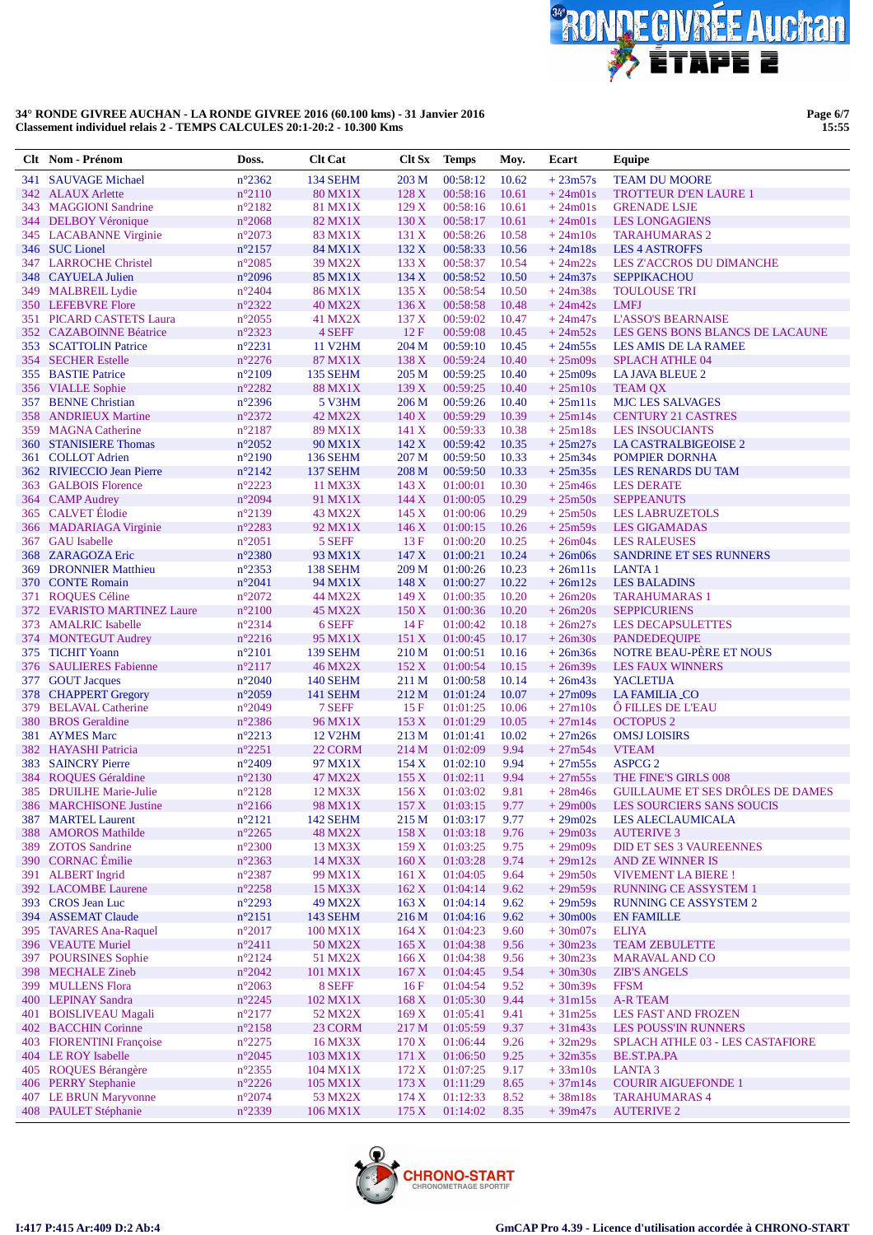

Page 6/7<br>15:55

|     | Clt Nom - Prénom                                  | Doss.                              | <b>Clt Cat</b>            | Clt Sx           | <b>Temps</b>         | Moy.           | Ecart                  | Equipe                                                          |
|-----|---------------------------------------------------|------------------------------------|---------------------------|------------------|----------------------|----------------|------------------------|-----------------------------------------------------------------|
|     | 341 SAUVAGE Michael                               | $n^{\circ}2362$                    | 134 SEHM                  | 203 M            | 00:58:12             | 10.62          | $+23m57s$              | <b>TEAM DU MOORE</b>                                            |
|     | 342 ALAUX Arlette                                 | $n^{\circ}2110$                    | <b>80 MX1X</b>            | 128X             | 00:58:16             | 10.61          | $+24m01s$              | <b>TROTTEUR D'EN LAURE 1</b>                                    |
|     | 343 MAGGIONI Sandrine                             | $n^{\circ}2182$                    | <b>81 MX1X</b>            | 129X             | 00:58:16             | 10.61          | $+24m01s$              | <b>GRENADE LSJE</b>                                             |
| 344 | <b>DELBOY Véronique</b>                           | $n^{\circ}2068$                    | 82 MX1X                   | 130 X            | 00:58:17             | 10.61          | $+24m01s$              | <b>LES LONGAGIENS</b>                                           |
|     | 345 LACABANNE Virginie                            | $n^{\circ}2073$                    | 83 MX1X                   | 131 X            | 00:58:26             | 10.58          | $+24m10s$              | <b>TARAHUMARAS 2</b>                                            |
|     | 346 SUC Lionel                                    | $n^{\circ}2157$                    | 84 MX1X                   | 132 X<br>133 X   | 00:58:33             | 10.56          | $+24m18s$              | <b>LES 4 ASTROFFS</b>                                           |
|     | 347 LARROCHE Christel<br>348 CAYUELA Julien       | $n^{\circ}2085$<br>$n^{\circ}2096$ | <b>39 MX2X</b><br>85 MX1X | 134 X            | 00:58:37<br>00:58:52 | 10.54<br>10.50 | $+24m22s$<br>$+24m37s$ | <b>LES Z'ACCROS DU DIMANCHE</b><br><b>SEPPIKACHOU</b>           |
| 349 | <b>MALBREIL Lydie</b>                             | $n^{\circ}2404$                    | <b>86 MX1X</b>            | 135X             | 00:58:54             | 10.50          | $+24m38s$              | <b>TOULOUSE TRI</b>                                             |
|     | 350 LEFEBVRE Flore                                | n°2322                             | <b>40 MX2X</b>            | 136 X            | 00:58:58             | 10.48          | $+24m42s$              | <b>LMFJ</b>                                                     |
| 351 | <b>PICARD CASTETS Laura</b>                       | $n^{\circ}2055$                    | 41 MX2X                   | 137 <sub>X</sub> | 00:59:02             | 10.47          | $+24m47s$              | <b>L'ASSO'S BEARNAISE</b>                                       |
|     | 352 CAZABOINNE Béatrice                           | $n^{\circ}2323$                    | 4 SEFF                    | 12F              | 00:59:08             | 10.45          | $+24m52s$              | LES GENS BONS BLANCS DE LACAUNE                                 |
|     | 353 SCATTOLIN Patrice                             | $n^{\circ}2231$                    | <b>11 V2HM</b>            | 204 M            | 00:59:10             | 10.45          | $+24m55s$              | LES AMIS DE LA RAMEE                                            |
|     | 354 SECHER Estelle                                | $n^{\circ}2276$                    | 87 MX1X                   | 138 X            | 00:59:24             | 10.40          | $+25m09s$              | <b>SPLACH ATHLE 04</b>                                          |
|     | 355 BASTIE Patrice                                | $n^{\circ}2109$                    | 135 SEHM                  | 205 M            | 00:59:25             | 10.40          | $+25m09s$              | LA JAVA BLEUE 2                                                 |
|     | 356 VIALLE Sophie                                 | $n^{\circ}2282$                    | <b>88 MX1X</b>            | 139 X            | 00:59:25             | 10.40          | $+25m10s$              | <b>TEAM QX</b>                                                  |
|     | 357 BENNE Christian                               | $n^{\circ}2396$                    | 5 V3HM                    | 206 M            | 00:59:26             | 10.40          | $+25m11s$              | <b>MJC LES SALVAGES</b>                                         |
| 358 | <b>ANDRIEUX Martine</b><br><b>MAGNA</b> Catherine | $n^{\circ}2372$                    | 42 MX2X                   | 140X             | 00:59:29<br>00:59:33 | 10.39<br>10.38 | $+25m14s$              | <b>CENTURY 21 CASTRES</b>                                       |
| 359 | 360 STANISIERE Thomas                             | $n^{\circ}2187$<br>$n^{\circ}2052$ | 89 MX1X<br>90 MX1X        | 141 X<br>142 X   | 00:59:42             | 10.35          | $+25m18s$<br>$+25m27s$ | <b>LES INSOUCIANTS</b><br>LA CASTRALBIGEOISE 2                  |
|     | 361 COLLOT Adrien                                 | $n^{\circ}2190$                    | <b>136 SEHM</b>           | 207 M            | 00:59:50             | 10.33          | $+25m34s$              | <b>POMPIER DORNHA</b>                                           |
|     | 362 RIVIECCIO Jean Pierre                         | $n^{\circ}2142$                    | 137 SEHM                  | 208 M            | 00:59:50             | 10.33          | $+25m35s$              | LES RENARDS DU TAM                                              |
| 363 | <b>GALBOIS Florence</b>                           | $n^{\circ}2223$                    | 11 MX3X                   | 143 X            | 01:00:01             | 10.30          | $+25m46s$              | <b>LES DERATE</b>                                               |
|     | 364 CAMP Audrey                                   | $n^{\circ}2094$                    | 91 MX1X                   | 144 X            | 01:00:05             | 10.29          | $+25m50s$              | <b>SEPPEANUTS</b>                                               |
|     | 365 CALVET Élodie                                 | $n^{\circ}2139$                    | 43 MX2X                   | 145 X            | 01:00:06             | 10.29          | $+25m50s$              | <b>LES LABRUZETOLS</b>                                          |
|     | 366 MADARIAGA Virginie                            | n°2283                             | 92 MX1X                   | 146X             | 01:00:15             | 10.26          | $+25m59s$              | <b>LES GIGAMADAS</b>                                            |
|     | 367 GAU Isabelle                                  | $n^{\circ}2051$                    | 5 SEFF                    | 13F              | 01:00:20             | 10.25          | $+26m04s$              | <b>LES RALEUSES</b>                                             |
| 368 | <b>ZARAGOZA Eric</b>                              | $n^{\circ}2380$                    | 93 MX1X                   | 147X             | 01:00:21             | 10.24          | $+26m06s$              | <b>SANDRINE ET SES RUNNERS</b>                                  |
| 369 | <b>DRONNIER Matthieu</b>                          | $n^{\circ}2353$                    | 138 SEHM                  | 209 M            | 01:00:26             | 10.23          | $+26m11s$              | <b>LANTA1</b>                                                   |
|     | 370 CONTE Romain                                  | $n^{\circ}2041$                    | 94 MX1X                   | 148 X            | 01:00:27             | 10.22          | $+26m12s$              | <b>LES BALADINS</b>                                             |
| 371 | <b>ROQUES Céline</b>                              | $n^{\circ}2072$                    | 44 MX2X                   | 149 X            | 01:00:35             | 10.20          | $+26m20s$              | <b>TARAHUMARAS 1</b>                                            |
|     | 372 EVARISTO MARTINEZ Laure                       | $n^{\circ}2100$                    | <b>45 MX2X</b>            | 150 X            | 01:00:36             | 10.20          | $+26m20s$              | <b>SEPPICURIENS</b>                                             |
| 373 | <b>AMALRIC</b> Isabelle<br>374 MONTEGUT Audrey    | $n^{\circ}2314$<br>$n^{\circ}2216$ | 6 SEFF<br>95 MX1X         | 14F<br>151 X     | 01:00:42<br>01:00:45 | 10.18<br>10.17 | $+26m27s$<br>$+26m30s$ | <b>LES DECAPSULETTES</b><br><b>PANDEDEQUIPE</b>                 |
|     | 375 TICHIT Yoann                                  | $n^{\circ}2101$                    | 139 SEHM                  | 210 M            | 01:00:51             | 10.16          | $+26m36s$              | NOTRE BEAU-PÈRE ET NOUS                                         |
|     | 376 SAULIERES Fabienne                            | $n^{\circ}2117$                    | <b>46 MX2X</b>            | 152 X            | 01:00:54             | 10.15          | $+26m39s$              | <b>LES FAUX WINNERS</b>                                         |
| 377 | <b>GOUT Jacques</b>                               | $n^{\circ}2040$                    | <b>140 SEHM</b>           | 211 M            | 01:00:58             | 10.14          | $+26m43s$              | <b>YACLETIJA</b>                                                |
| 378 | <b>CHAPPERT Gregory</b>                           | $n^{\circ}2059$                    | 141 SEHM                  | 212 M            | 01:01:24             | 10.07          | $+27m09s$              | <b>LA FAMILIA CO</b>                                            |
| 379 | <b>BELAVAL Catherine</b>                          | $n^{\circ}2049$                    | 7 SEFF                    | 15F              | 01:01:25             | 10.06          | $+27m10s$              | <b>O FILLES DE L'EAU</b>                                        |
| 380 | <b>BROS</b> Geraldine                             | $n^{\circ}2386$                    | 96 MX1X                   | 153X             | 01:01:29             | 10.05          | $+27m14s$              | <b>OCTOPUS 2</b>                                                |
| 381 | <b>AYMES Marc</b>                                 | $n^{\circ}2213$                    | <b>12 V2HM</b>            | 213 M            | 01:01:41             | 10.02          | $+27m26s$              | <b>OMSJ LOISIRS</b>                                             |
|     | 382 HAYASHI Patricia                              | $n^{\circ}2251$                    | 22 CORM                   | 214 M            | 01:02:09             | 9.94           | $+27m54s$              | <b>VTEAM</b>                                                    |
| 383 | <b>SAINCRY Pierre</b>                             | $n^{\circ}2409$                    | 97 MX1X                   | 154X             | 01:02:10             | 9.94           | $+27m55s$              | ASPCG <sub>2</sub>                                              |
|     | 384 ROQUES Géraldine                              | $n^{\circ}2130$                    | 47 MX2X                   | 155 X            | 01:02:11             | 9.94           | $+27m55s$              | THE FINE'S GIRLS 008<br><b>GUILLAUME ET SES DRÔLES DE DAMES</b> |
|     | 385 DRUILHE Marie-Julie                           | $n^{\circ}2128$                    | 12 MX3X                   | 156X             | 01:03:02<br>01:03:15 | 9.81           | $+28m46s$              |                                                                 |
| 387 | 386 MARCHISONE Justine<br><b>MARTEL Laurent</b>   | $n^{\circ}2166$<br>$n^{\circ}2121$ | 98 MX1X<br>142 SEHM       | 157 X<br>215 M   | 01:03:17             | 9.77<br>9.77   | $+29m00s$<br>$+29m02s$ | LES SOURCIERS SANS SOUCIS<br><b>LES ALECLAUMICALA</b>           |
| 388 | <b>AMOROS Mathilde</b>                            | $n^{\circ}2265$                    | <b>48 MX2X</b>            | 158 X            | 01:03:18             | 9.76           | $+29m03s$              | <b>AUTERIVE 3</b>                                               |
| 389 | <b>ZOTOS</b> Sandrine                             | $n^{\circ}2300$                    | 13 MX3X                   | 159X             | 01:03:25             | 9.75           | $+29m09s$              | DID ET SES 3 VAUREENNES                                         |
|     | 390 CORNAC Émilie                                 | n°2363                             | 14 MX3X                   | 160X             | 01:03:28             | 9.74           | $+29m12s$              | AND ZE WINNER IS                                                |
|     | 391 ALBERT Ingrid                                 | $n^{\circ}2387$                    | 99 MX1X                   | 161 X            | 01:04:05             | 9.64           | $+29m50s$              | <b>VIVEMENT LA BIERE!</b>                                       |
|     | 392 LACOMBE Laurene                               | $n^{\circ}2258$                    | 15 MX3X                   | 162 X            | 01:04:14             | 9.62           | $+29m59s$              | <b>RUNNING CE ASSYSTEM 1</b>                                    |
|     | 393 CROS Jean Luc                                 | $n^{\circ}2293$                    | 49 MX2X                   | 163 X            | 01:04:14             | 9.62           | $+29m59s$              | RUNNING CE ASSYSTEM 2                                           |
|     | 394 ASSEMAT Claude                                | $n^{\circ}2151$                    | 143 SEHM                  | 216 M            | 01:04:16             | 9.62           | $+30m00s$              | <b>EN FAMILLE</b>                                               |
|     | 395 TAVARES Ana-Raquel                            | $n^{\circ}2017$                    | 100 MX1X                  | 164 X            | 01:04:23             | 9.60           | $+30m07s$              | <b>ELIYA</b>                                                    |
|     | 396 VEAUTE Muriel                                 | $n^{\circ}2411$                    | 50 MX2X                   | 165 X            | 01:04:38             | 9.56           | $+30m23s$              | <b>TEAM ZEBULETTE</b>                                           |
|     | 397 POURSINES Sophie                              | $n^{\circ}2124$                    | 51 MX2X                   | 166X             | 01:04:38             | 9.56           | $+30m23s$              | <b>MARAVAL AND CO</b>                                           |
|     | 398 MECHALE Zineb<br>399 MULLENS Flora            | $n^{\circ}2042$<br>$n^{\circ}2063$ | 101 MX1X<br>8 SEFF        | 167X<br>16F      | 01:04:45<br>01:04:54 | 9.54<br>9.52   | $+30m30s$<br>$+30m39s$ | <b>ZIB'S ANGELS</b><br><b>FFSM</b>                              |
|     | 400 LEPINAY Sandra                                | $n^{\circ}2245$                    | 102 MX1X                  | 168 X            | 01:05:30             | 9.44           | $+31m15s$              | <b>A-R TEAM</b>                                                 |
| 401 | <b>BOISLIVEAU Magali</b>                          | $n^{\circ}2177$                    | 52 MX2X                   | 169X             | 01:05:41             | 9.41           | $+31m25s$              | <b>LES FAST AND FROZEN</b>                                      |
|     | 402 BACCHIN Corinne                               | n°2158                             | 23 CORM                   | 217 M            | 01:05:59             | 9.37           | $+31m43s$              | <b>LES POUSS'IN RUNNERS</b>                                     |
|     | 403 FIORENTINI Françoise                          | $n^{\circ}2275$                    | 16 MX3X                   | 170 X            | 01:06:44             | 9.26           | $+32m29s$              | SPLACH ATHLE 03 - LES CASTAFIORE                                |
|     | 404 LE ROY Isabelle                               | $n^{\circ}2045$                    | 103 MX1X                  | 171 X            | 01:06:50             | 9.25           | $+32m35s$              | BE.ST.PA.PA                                                     |
|     | 405 ROQUES Bérangère                              | $n^{\circ}2355$                    | 104 MX1X                  | 172 X            | 01:07:25             | 9.17           | $+33m10s$              | <b>LANTA3</b>                                                   |
| 406 | <b>PERRY Stephanie</b>                            | $n^{\circ}2226$                    | 105 MX1X                  | 173 X            | 01:11:29             | 8.65           | $+37m14s$              | <b>COURIR AIGUEFONDE 1</b>                                      |
|     | 407 LE BRUN Maryvonne                             | $n^{\circ}2074$                    | 53 MX2X                   | 174 X            | 01:12:33             | 8.52           | $+38m18s$              | <b>TARAHUMARAS 4</b>                                            |
|     | 408 PAULET Stéphanie                              | $n^{\circ}2339$                    | 106 MX1X                  | 175 X            | 01:14:02             | 8.35           | $+39m47s$              | <b>AUTERIVE 2</b>                                               |